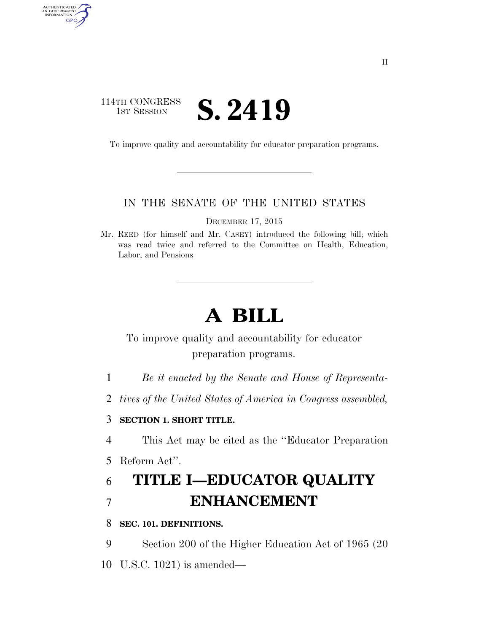## 114TH CONGRESS **IST SESSION S. 2419**

AUTHENTICATED<br>U.S. GOVERNMENT<br>INFORMATION

**GPO** 

To improve quality and accountability for educator preparation programs.

#### IN THE SENATE OF THE UNITED STATES

DECEMBER 17, 2015

Mr. REED (for himself and Mr. CASEY) introduced the following bill; which was read twice and referred to the Committee on Health, Education, Labor, and Pensions

# **A BILL**

## To improve quality and accountability for educator preparation programs.

- 1 *Be it enacted by the Senate and House of Representa-*
- 2 *tives of the United States of America in Congress assembled,*

#### 3 **SECTION 1. SHORT TITLE.**

4 This Act may be cited as the ''Educator Preparation

5 Reform Act''.

## 6 **TITLE I—EDUCATOR QUALITY**  7 **ENHANCEMENT**

#### 8 **SEC. 101. DEFINITIONS.**

9 Section 200 of the Higher Education Act of 1965 (20

10 U.S.C. 1021) is amended—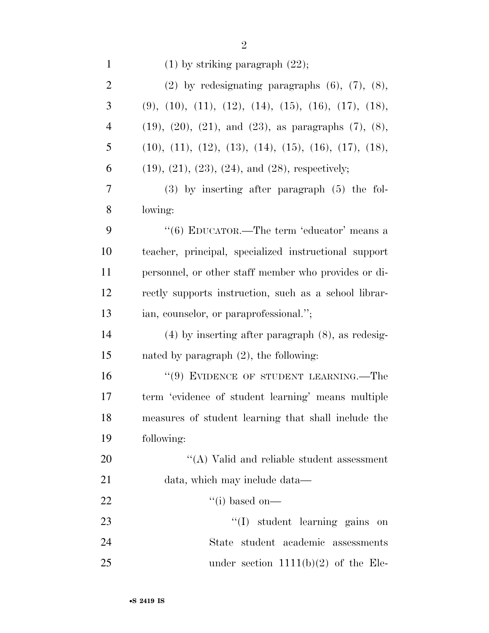| $\mathbf{1}$   | $(1)$ by striking paragraph $(22)$ ;                                  |
|----------------|-----------------------------------------------------------------------|
| $\overline{c}$ | $(2)$ by redesignating paragraphs $(6)$ , $(7)$ , $(8)$ ,             |
| 3              | $(9), (10), (11), (12), (14), (15), (16), (17), (18),$                |
| $\overline{4}$ | $(19)$ , $(20)$ , $(21)$ , and $(23)$ , as paragraphs $(7)$ , $(8)$ , |
| 5              | $(10), (11), (12), (13), (14), (15), (16), (17), (18),$               |
| 6              | $(19)$ , $(21)$ , $(23)$ , $(24)$ , and $(28)$ , respectively;        |
| 7              | $(3)$ by inserting after paragraph $(5)$ the fol-                     |
| 8              | lowing:                                                               |
| 9              | "(6) EDUCATOR.—The term 'educator' means a                            |
| 10             | teacher, principal, specialized instructional support                 |
| 11             | personnel, or other staff member who provides or di-                  |
| 12             | rectly supports instruction, such as a school librar-                 |
| 13             | ian, counselor, or paraprofessional.";                                |
| 14             | $(4)$ by inserting after paragraph $(8)$ , as redesig-                |
| 15             | nated by paragraph $(2)$ , the following:                             |
| 16             | "(9) EVIDENCE OF STUDENT LEARNING.—The                                |
| 17             | term 'evidence of student learning' means multiple                    |
| 18             | measures of student learning that shall include the                   |
| 19             | following:                                                            |
| 20             | $\lq\lq$ (A) Valid and reliable student assessment                    |
| 21             | data, which may include data—                                         |
| 22             | $``(i)$ based on—                                                     |
| 23             | $\lq\lq$ student learning gains<br>on                                 |
| 24             | student academic assessments<br>State                                 |
| 25             | under section $1111(b)(2)$ of the Ele-                                |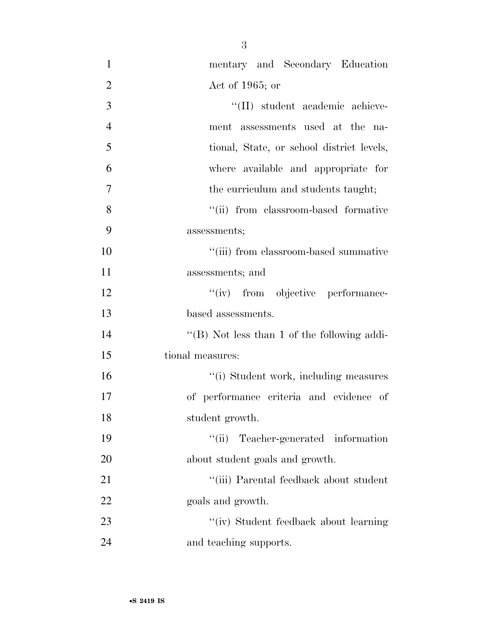| $\mathbf{1}$   | mentary and Secondary Education                |
|----------------|------------------------------------------------|
| $\overline{2}$ | Act of 1965; or                                |
| 3              | "(II) student academic achieve-                |
| $\overline{4}$ | ment assessments used at the na-               |
| 5              | tional, State, or school district levels,      |
| 6              | where available and appropriate for            |
| 7              | the curriculum and students taught;            |
| 8              | "(ii) from classroom-based formative           |
| 9              | assessments;                                   |
| 10             | "(iii) from classroom-based summative          |
| 11             | assessments; and                               |
| 12             | "(iv) from objective performance-              |
| 13             | based assessments.                             |
| 14             | "(B) Not less than 1 of the following addi-    |
| 15             | tional measures:                               |
| 16             | "(i) Student work, including measures          |
| 17             | of performance criteria and evidence of        |
| 18             | student growth.                                |
| 19             | "(ii) Teacher-generated information            |
| 20             | about student goals and growth.                |
| 21             | $\lq\lq$ (iii) Parental feedback about student |
| 22             | goals and growth.                              |
| 23             | "(iv) Student feedback about learning          |
| 24             | and teaching supports.                         |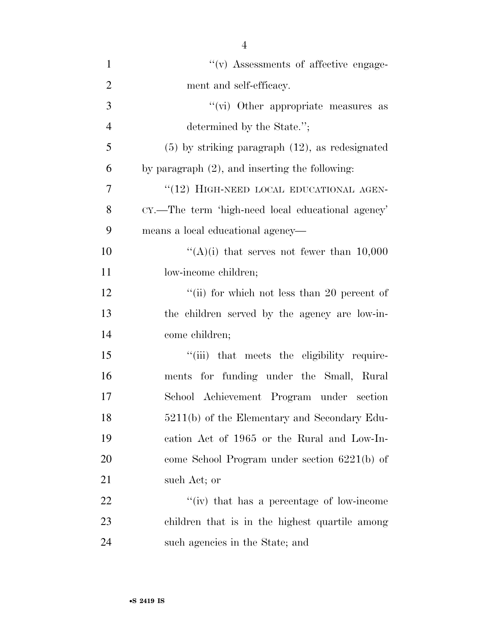| $\mathbf{1}$   | $\lq\lq$ (v) Assessments of affective engage-        |
|----------------|------------------------------------------------------|
| $\overline{2}$ | ment and self-efficacy.                              |
| 3              | "(vi) Other appropriate measures as                  |
| $\overline{4}$ | determined by the State.";                           |
| 5              | $(5)$ by striking paragraph $(12)$ , as redesignated |
| 6              | by paragraph $(2)$ , and inserting the following:    |
| 7              | "(12) HIGH-NEED LOCAL EDUCATIONAL AGEN-              |
| 8              | CY.—The term 'high-need local educational agency'    |
| 9              | means a local educational agency—                    |
| 10             | "(A)(i) that serves not fewer than $10,000$          |
| 11             | low-income children;                                 |
| 12             | "(ii) for which not less than 20 percent of          |
| 13             | the children served by the agency are low-in-        |
| 14             | come children;                                       |
| 15             | "(iii) that meets the eligibility require-           |
| 16             | ments for funding under the Small, Rural             |
| 17             | School Achievement Program under section             |
| 18             | 5211(b) of the Elementary and Secondary Edu-         |
| 19             | cation Act of 1965 or the Rural and Low-In-          |
| 20             | come School Program under section $6221(b)$ of       |
| 21             | such Act; or                                         |
| 22             | "(iv) that has a percentage of low-income"           |
| 23             | children that is in the highest quartile among       |
| 24             | such agencies in the State; and                      |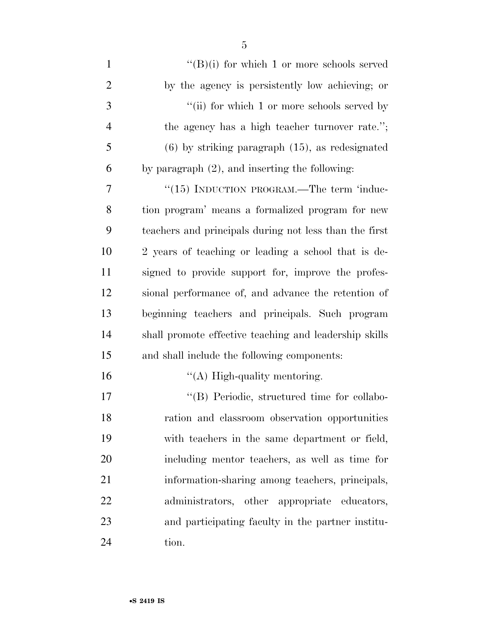| $\mathbf{1}$   | $\lq\lq (B)(i)$ for which 1 or more schools served     |
|----------------|--------------------------------------------------------|
| $\overline{2}$ | by the agency is persistently low achieving; or        |
| 3              | "(ii) for which 1 or more schools served by            |
| $\overline{4}$ | the agency has a high teacher turnover rate.";         |
| 5              | $(6)$ by striking paragraph $(15)$ , as redesignated   |
| 6              | by paragraph $(2)$ , and inserting the following:      |
| $\tau$         | "(15) INDUCTION PROGRAM.—The term 'induc-              |
| 8              | tion program' means a formalized program for new       |
| 9              | teachers and principals during not less than the first |
| 10             | 2 years of teaching or leading a school that is de-    |
| 11             | signed to provide support for, improve the profes-     |
| 12             | sional performance of, and advance the retention of    |
| 13             | beginning teachers and principals. Such program        |
| 14             | shall promote effective teaching and leadership skills |
| 15             | and shall include the following components:            |
| 16             | $\lq\lq$ High-quality mentoring.                       |
| 17             | "(B) Periodic, structured time for collabo-            |
| 18             | ration and classroom observation opportunities         |
| 19             | with teachers in the same department or field,         |
| 20             | including mentor teachers, as well as time for         |
| 21             | information-sharing among teachers, principals,        |
| 22             | administrators, other appropriate educators,           |
| 23             | and participating faculty in the partner institu-      |
| 24             | tion.                                                  |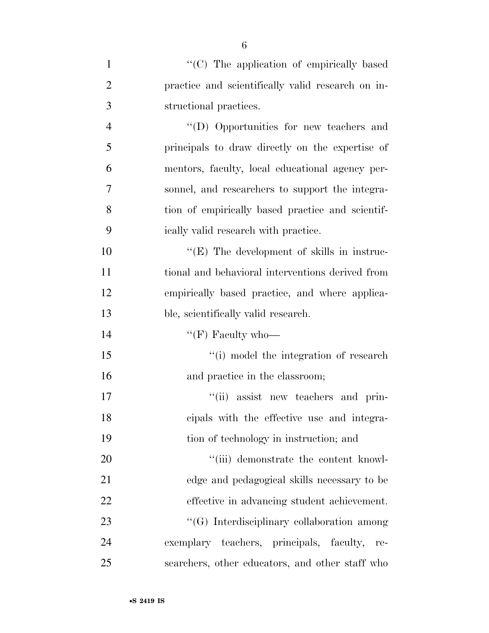| $\mathbf{1}$   | "(C) The application of empirically based          |
|----------------|----------------------------------------------------|
| $\overline{2}$ | practice and scientifically valid research on in-  |
| 3              | structional practices.                             |
| $\overline{4}$ | "(D) Opportunities for new teachers and            |
| 5              | principals to draw directly on the expertise of    |
| 6              | mentors, faculty, local educational agency per-    |
| 7              | sonnel, and researchers to support the integra-    |
| 8              | tion of empirically based practice and scientif-   |
| 9              | ically valid research with practice.               |
| 10             | $\lq\lq$ (E) The development of skills in instruc- |
| 11             | tional and behavioral interventions derived from   |
| 12             | empirically based practice, and where applica-     |
| 13             | ble, scientifically valid research.                |
| 14             | " $(F)$ Faculty who-                               |
| 15             | "(i) model the integration of research             |
| 16             | and practice in the classroom;                     |
| 17             | "(ii) assist new teachers and prin-                |
| 18             | cipals with the effective use and integra-         |
| 19             | tion of technology in instruction; and             |
| 20             | "(iii) demonstrate the content knowl-              |
| 21             | edge and pedagogical skills necessary to be        |
| 22             | effective in advancing student achievement.        |
| 23             | "(G) Interdisciplinary collaboration among         |
| 24             | exemplary teachers, principals, faculty,<br>re-    |
| 25             | searchers, other educators, and other staff who    |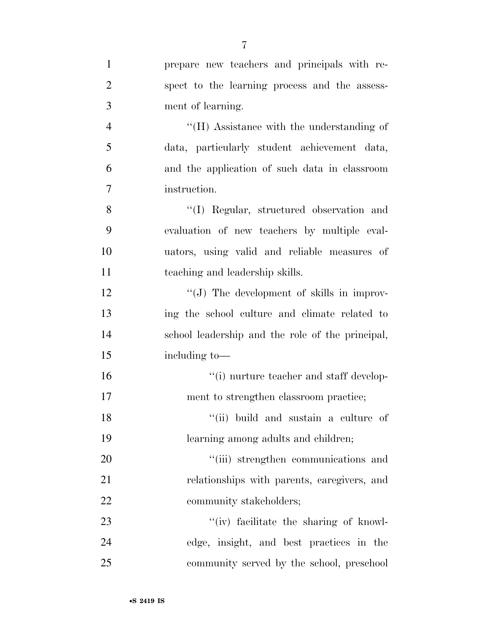|                | $\overline{7}$                                   |
|----------------|--------------------------------------------------|
| $\mathbf{1}$   | prepare new teachers and principals with re-     |
| $\overline{2}$ | spect to the learning process and the assess-    |
| 3              | ment of learning.                                |
| $\overline{4}$ | $H(H)$ Assistance with the understanding of      |
| 5              | data, particularly student achievement data,     |
| 6              | and the application of such data in classroom    |
| $\overline{7}$ | instruction.                                     |
| 8              | "(I) Regular, structured observation and         |
| 9              | evaluation of new teachers by multiple eval-     |
| 10             | uators, using valid and reliable measures of     |
| 11             | teaching and leadership skills.                  |
| 12             | "(J) The development of skills in improv-        |
| 13             | ing the school culture and climate related to    |
| 14             | school leadership and the role of the principal, |
| 15             | including to-                                    |
| 16             | $"(i)$ nurture teacher and staff develop-        |
| 17             | ment to strengthen classroom practice;           |
| 18             | "(ii) build and sustain a culture of             |
| 19             | learning among adults and children;              |
| 20             | "(iii) strengthen communications and             |
| 21             | relationships with parents, caregivers, and      |
| 22             | community stakeholders;                          |
| 23             | "(iv) facilitate the sharing of knowl-           |
| 24             | edge, insight, and best practices in the         |
| 25             | community served by the school, preschool        |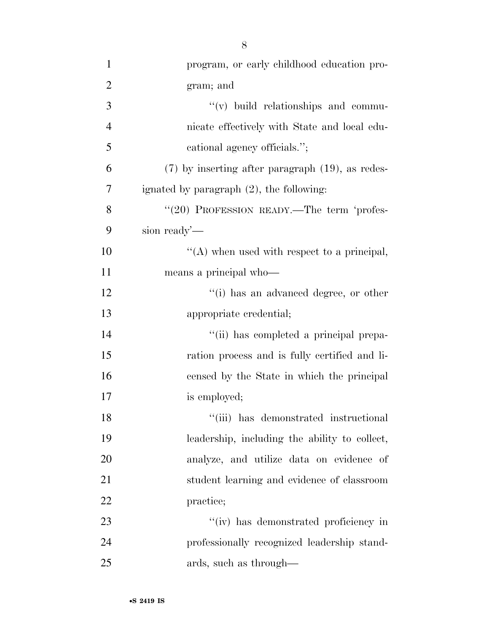| $\mathbf{1}$   | program, or early childhood education pro-            |
|----------------|-------------------------------------------------------|
| $\overline{2}$ | gram; and                                             |
| 3              | $\lq\lq$ build relationships and commu-               |
| $\overline{4}$ | nicate effectively with State and local edu-          |
| 5              | cational agency officials.";                          |
| 6              | $(7)$ by inserting after paragraph $(19)$ , as redes- |
| 7              | ignated by paragraph $(2)$ , the following:           |
| 8              | "(20) PROFESSION READY.—The term 'profes-             |
| 9              | sion ready'-                                          |
| 10             | $\lq\lq$ when used with respect to a principal,       |
| 11             | means a principal who-                                |
| 12             | "(i) has an advanced degree, or other                 |
| 13             | appropriate credential;                               |
| 14             | "(ii) has completed a principal prepa-                |
| 15             | ration process and is fully certified and li-         |
| 16             | censed by the State in which the principal            |
| 17             | is employed;                                          |
| 18             | "(iii) has demonstrated instructional                 |
| 19             | leadership, including the ability to collect,         |
| 20             | analyze, and utilize data on evidence of              |
| 21             | student learning and evidence of classroom            |
| 22             | practice;                                             |
| 23             | "(iv) has demonstrated proficiency in                 |
| 24             | professionally recognized leadership stand-           |
| 25             | ards, such as through—                                |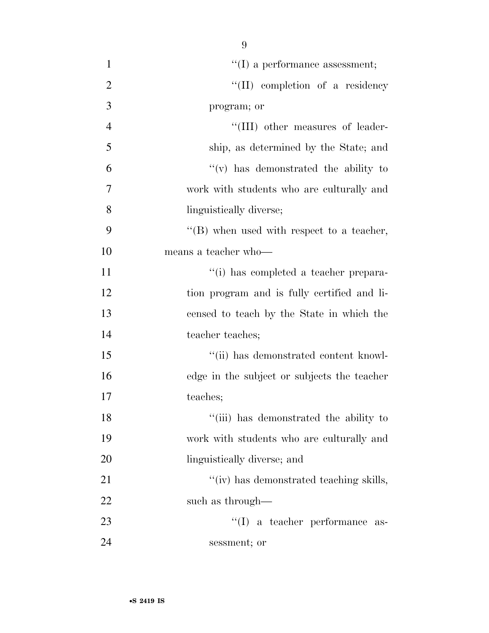| $\mathbf{1}$   | $\lq\lq$ (I) a performance assessment;      |
|----------------|---------------------------------------------|
| $\overline{2}$ | "(II) completion of a residency             |
| 3              | program; or                                 |
| $\overline{4}$ | "(III) other measures of leader-            |
| 5              | ship, as determined by the State; and       |
| 6              | "(v) has demonstrated the ability to        |
| 7              | work with students who are culturally and   |
| 8              | linguistically diverse;                     |
| 9              | "(B) when used with respect to a teacher,   |
| 10             | means a teacher who-                        |
| 11             | "(i) has completed a teacher prepara-       |
| 12             | tion program and is fully certified and li- |
| 13             | censed to teach by the State in which the   |
| 14             | teacher teaches;                            |
| 15             | "(ii) has demonstrated content knowl-       |
| 16             | edge in the subject or subjects the teacher |
| 17             | teaches;                                    |
| 18             | "(iii) has demonstrated the ability to      |
| 19             | work with students who are culturally and   |
| 20             | linguistically diverse; and                 |
| 21             | "(iv) has demonstrated teaching skills,     |
| 22             | such as through—                            |
| 23             | $\lq\lq$ a teacher performance as-          |
| 24             | sessment; or                                |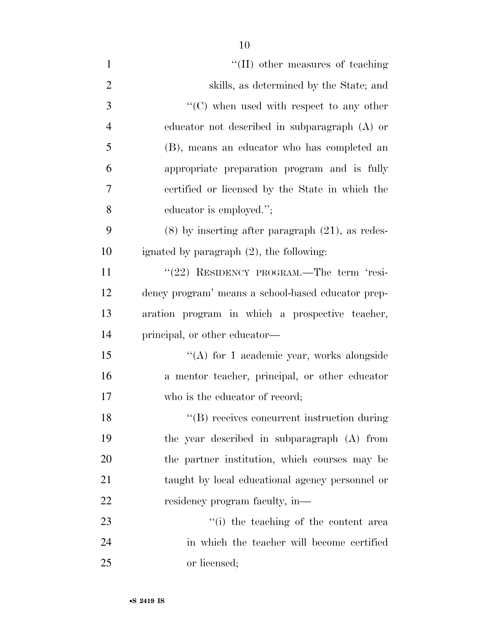| $\mathbf{1}$   | "(II) other measures of teaching                              |
|----------------|---------------------------------------------------------------|
| $\overline{2}$ | skills, as determined by the State; and                       |
| 3              | $\lq\lq$ <sup>*</sup> (C) when used with respect to any other |
| $\overline{4}$ | educator not described in subparagraph $(A)$ or               |
| 5              | (B), means an educator who has completed an                   |
| 6              | appropriate preparation program and is fully                  |
| 7              | certified or licensed by the State in which the               |
| 8              | educator is employed.";                                       |
| 9              | $(8)$ by inserting after paragraph $(21)$ , as redes-         |
| 10             | ignated by paragraph $(2)$ , the following:                   |
| 11             | "(22) RESIDENCY PROGRAM.—The term 'resi-                      |
| 12             | dency program' means a school-based educator prep-            |
| 13             | aration program in which a prospective teacher,               |
| 14             | principal, or other educator—                                 |
| 15             | "(A) for 1 academic year, works alongside                     |
| 16             | a mentor teacher, principal, or other educator                |
| 17             | who is the educator of record;                                |
| 18             | "(B) receives concurrent instruction during                   |
| 19             | the year described in subparagraph (A) from                   |
| 20             | the partner institution, which courses may be                 |
| 21             | taught by local educational agency personnel or               |
| 22             | residency program faculty, in-                                |
| 23             | "(i) the teaching of the content area                         |
| 24             | in which the teacher will become certified                    |
| 25             | or licensed;                                                  |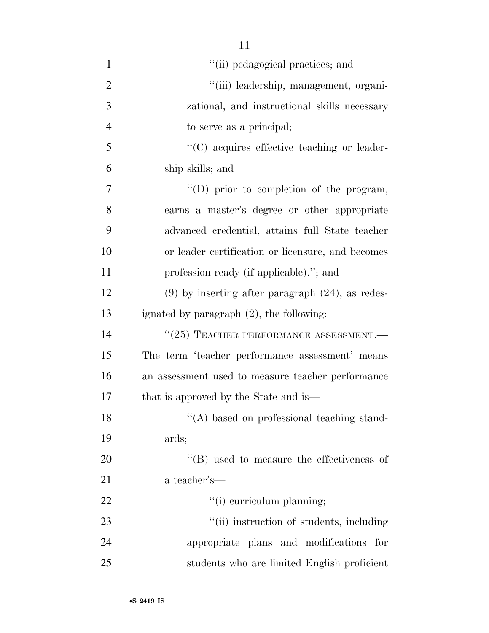| $\mathbf{1}$   | "(ii) pedagogical practices; and                      |
|----------------|-------------------------------------------------------|
| $\overline{2}$ | "(iii) leadership, management, organi-                |
| 3              | zational, and instructional skills necessary          |
| $\overline{4}$ | to serve as a principal;                              |
| 5              | $\lq\lq$ (C) acquires effective teaching or leader-   |
| 6              | ship skills; and                                      |
| 7              | $\lq\lq$ (D) prior to completion of the program,      |
| 8              | earns a master's degree or other appropriate          |
| 9              | advanced credential, attains full State teacher       |
| 10             | or leader certification or licensure, and becomes     |
| 11             | profession ready (if applicable)."; and               |
| 12             | $(9)$ by inserting after paragraph $(24)$ , as redes- |
| 13             | ignated by paragraph $(2)$ , the following:           |
| 14             | $``(25)$ TEACHER PERFORMANCE ASSESSMENT.—             |
| 15             | The term 'teacher performance assessment' means       |
| 16             | an assessment used to measure teacher performance     |
| 17             | that is approved by the State and is—                 |
| 18             | "(A) based on professional teaching stand-            |
| 19             | ards;                                                 |
| 20             | $\lq\lq$ (B) used to measure the effectiveness of     |
| 21             | a teacher's—                                          |
| 22             | "(i) curriculum planning;                             |
| 23             | "(ii) instruction of students, including              |
| 24             | appropriate plans and modifications<br>for            |
| 25             | students who are limited English proficient           |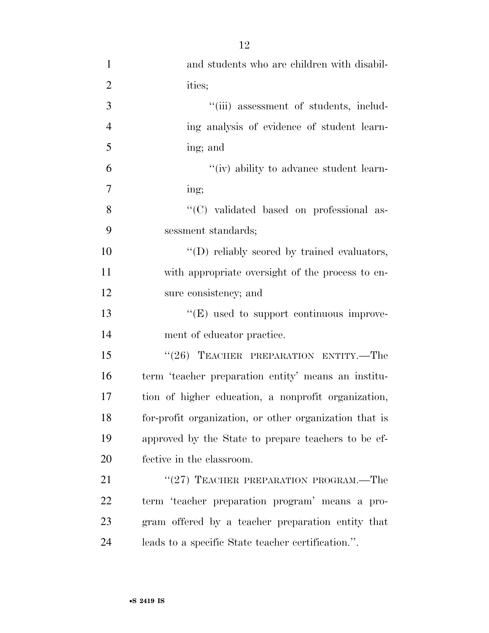| $\mathbf{1}$   | and students who are children with disabil-            |
|----------------|--------------------------------------------------------|
| $\overline{2}$ | ities;                                                 |
| 3              | "(iii) assessment of students, includ-                 |
| $\overline{4}$ | ing analysis of evidence of student learn-             |
| 5              | ing; and                                               |
| 6              | "(iv) ability to advance student learn-                |
| 7              | ing;                                                   |
| 8              | "(C) validated based on professional as-               |
| 9              | sessment standards;                                    |
| 10             | "(D) reliably scored by trained evaluators,            |
| 11             | with appropriate oversight of the process to en-       |
| 12             | sure consistency; and                                  |
| 13             | "(E) used to support continuous improve-               |
| 14             | ment of educator practice.                             |
| 15             | "(26) TEACHER PREPARATION ENTITY.—The                  |
| 16             | term 'teacher preparation entity' means an institu-    |
| 17             | tion of higher education, a nonprofit organization,    |
| 18             | for-profit organization, or other organization that is |
| 19             | approved by the State to prepare teachers to be ef-    |
| 20             | fective in the classroom.                              |
| 21             | "(27) TEACHER PREPARATION PROGRAM.—The                 |
| 22             | term 'teacher preparation program' means a pro-        |
| 23             | gram offered by a teacher preparation entity that      |
| 24             | leads to a specific State teacher certification.".     |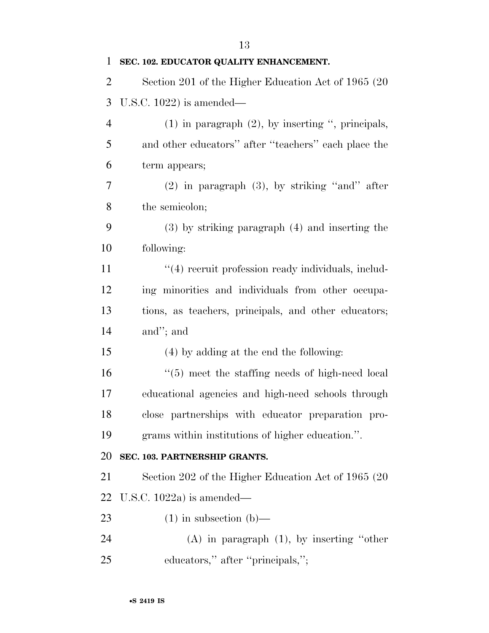**SEC. 102. EDUCATOR QUALITY ENHANCEMENT.**  Section 201 of the Higher Education Act of 1965 (20 U.S.C. 1022) is amended— (1) in paragraph (2), by inserting '', principals, and other educators'' after ''teachers'' each place the term appears; (2) in paragraph (3), by striking ''and'' after the semicolon; (3) by striking paragraph (4) and inserting the following:  $\frac{4}{4}$  recruit profession ready individuals, includ- ing minorities and individuals from other occupa- tions, as teachers, principals, and other educators; and''; and (4) by adding at the end the following: ''(5) meet the staffing needs of high-need local educational agencies and high-need schools through close partnerships with educator preparation pro- grams within institutions of higher education.''. **SEC. 103. PARTNERSHIP GRANTS.**  Section 202 of the Higher Education Act of 1965 (20 U.S.C. 1022a) is amended— 23 (1) in subsection  $(b)$ — (A) in paragraph (1), by inserting ''other 25 educators," after "principals,";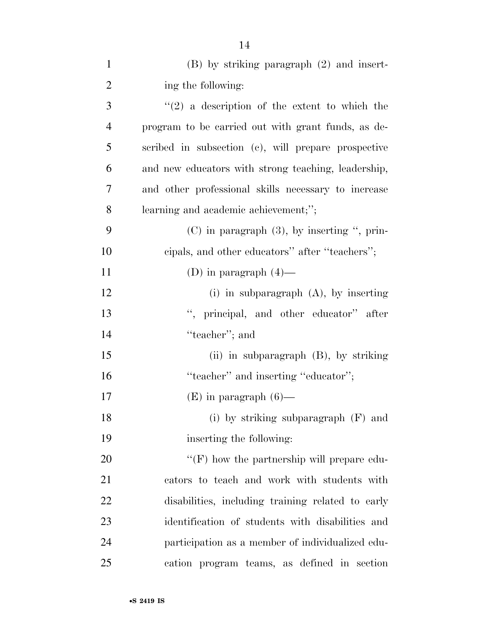| $\mathbf{1}$   | $(B)$ by striking paragraph $(2)$ and insert-       |
|----------------|-----------------------------------------------------|
| $\overline{2}$ | ing the following:                                  |
| 3              | $\lq(2)$ a description of the extent to which the   |
| $\overline{4}$ | program to be carried out with grant funds, as de-  |
| 5              | scribed in subsection (c), will prepare prospective |
| 6              | and new educators with strong teaching, leadership, |
| 7              | and other professional skills necessary to increase |
| 8              | learning and academic achievement;";                |
| 9              | $(C)$ in paragraph $(3)$ , by inserting ", prin-    |
| 10             | cipals, and other educators" after "teachers";      |
| 11             | (D) in paragraph $(4)$ —                            |
| 12             | $(i)$ in subparagraph $(A)$ , by inserting          |
| 13             | ", principal, and other educator" after             |
| 14             | "teacher"; and                                      |
| 15             | (ii) in subparagraph (B), by striking               |
| 16             | "teacher" and inserting "educator";                 |
| 17             | $(E)$ in paragraph $(6)$ —                          |
| 18             | (i) by striking subparagraph $(F)$ and              |
| 19             | inserting the following:                            |
| 20             | " $(F)$ how the partnership will prepare edu-       |
| 21             | cators to teach and work with students with         |
| 22             | disabilities, including training related to early   |
| 23             | identification of students with disabilities and    |
| 24             | participation as a member of individualized edu-    |
| 25             | cation program teams, as defined in section         |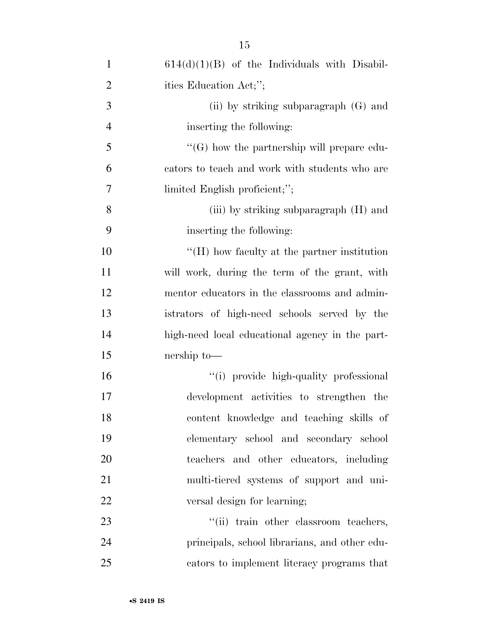| $\mathbf{1}$   | $614(d)(1)(B)$ of the Individuals with Disabil-     |
|----------------|-----------------------------------------------------|
| $\overline{2}$ | ities Education Act;";                              |
| 3              | (ii) by striking subparagraph $(G)$ and             |
| $\overline{4}$ | inserting the following:                            |
| 5              | $\lq\lq(G)$ how the partnership will prepare edu-   |
| 6              | cators to teach and work with students who are      |
| 7              | limited English proficient;";                       |
| 8              | (iii) by striking subparagraph (H) and              |
| 9              | inserting the following:                            |
| 10             | $\lq\lq (H)$ how faculty at the partner institution |
| 11             | will work, during the term of the grant, with       |
| 12             | mentor educators in the classrooms and admin-       |
| 13             | istrators of high-need schools served by the        |
| 14             | high-need local educational agency in the part-     |
| 15             | nership to-                                         |
| 16             | "(i) provide high-quality professional              |
| 17             | development activities to strengthen the            |
| 18             | content knowledge and teaching skills of            |
| 19             | elementary school and secondary school              |
| 20             | teachers and other educators, including             |
| 21             | multi-tiered systems of support and uni-            |
| 22             | versal design for learning;                         |
| 23             | "(ii) train other classroom teachers,               |
| 24             | principals, school librarians, and other edu-       |
| 25             | cators to implement literacy programs that          |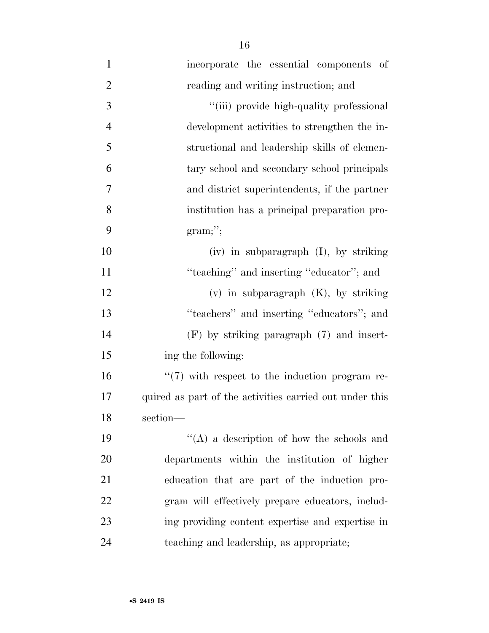| $\mathbf{1}$   | incorporate the essential components of                 |
|----------------|---------------------------------------------------------|
| $\overline{2}$ | reading and writing instruction; and                    |
| $\mathfrak{Z}$ | "(iii) provide high-quality professional                |
| $\overline{4}$ | development activities to strengthen the in-            |
| 5              | structional and leadership skills of elemen-            |
| 6              | tary school and secondary school principals             |
| 7              | and district superintendents, if the partner            |
| 8              | institution has a principal preparation pro-            |
| 9              | gram;                                                   |
| 10             | $(iv)$ in subparagraph $(I)$ , by striking              |
| 11             | "teaching" and inserting "educator"; and                |
| 12             | $(v)$ in subparagraph $(K)$ , by striking               |
| 13             | "teachers" and inserting "educators"; and               |
| 14             | $(F)$ by striking paragraph $(7)$ and insert-           |
| 15             | ing the following:                                      |
| 16             | $\lq(7)$ with respect to the induction program re-      |
| 17             | quired as part of the activities carried out under this |
| 18             | section-                                                |
| 19             | $\lq\lq$ (A) a description of how the schools and       |
| 20             | departments within the institution of higher            |
| 21             | education that are part of the induction pro-           |
| 22             | gram will effectively prepare educators, includ-        |
| 23             | ing providing content expertise and expertise in        |
| 24             | teaching and leadership, as appropriate;                |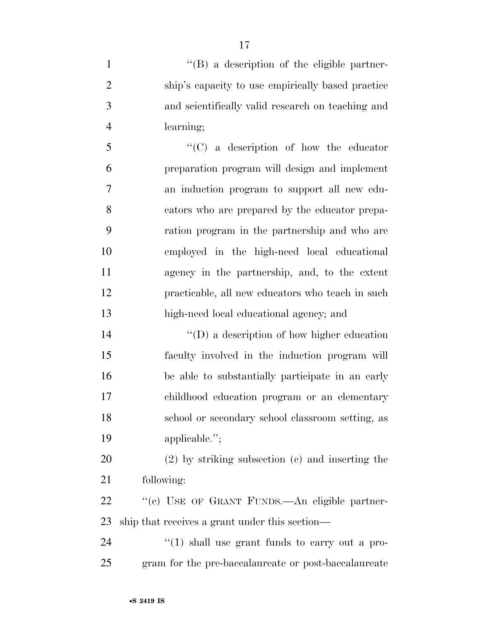1 ''(B) a description of the eligible partner- ship's capacity to use empirically based practice and scientifically valid research on teaching and learning;

 ''(C) a description of how the educator preparation program will design and implement an induction program to support all new edu- cators who are prepared by the educator prepa- ration program in the partnership and who are employed in the high-need local educational agency in the partnership, and, to the extent practicable, all new educators who teach in such high-need local educational agency; and

 ''(D) a description of how higher education faculty involved in the induction program will be able to substantially participate in an early childhood education program or an elementary school or secondary school classroom setting, as applicable.'';

 (2) by striking subsection (c) and inserting the following:

22 "(c) USE OF GRANT FUNDS.—An eligible partner-ship that receives a grant under this section—

24  $\frac{u(1)}{2}$  shall use grant funds to carry out a pro-gram for the pre-baccalaureate or post-baccalaureate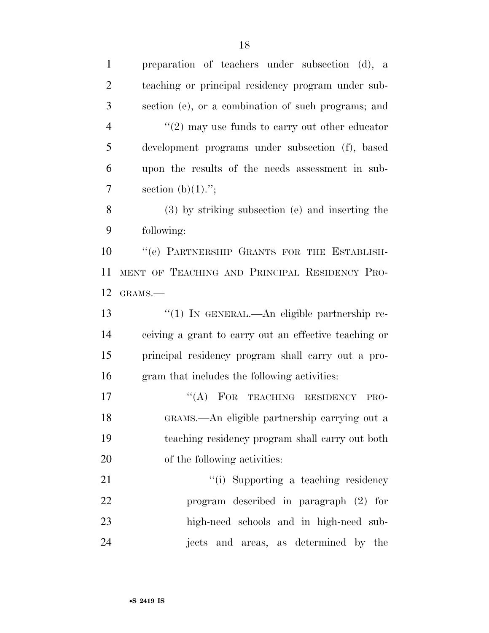| $\mathbf{1}$   | preparation of teachers under subsection (d), a           |
|----------------|-----------------------------------------------------------|
| $\overline{2}$ | teaching or principal residency program under sub-        |
| 3              | section (e), or a combination of such programs; and       |
| $\overline{4}$ | $\cdot\cdot(2)$ may use funds to carry out other educator |
| 5              | development programs under subsection (f), based          |
| 6              | upon the results of the needs assessment in sub-          |
| $\overline{7}$ | section $(b)(1)$ .";                                      |
| 8              | (3) by striking subsection (e) and inserting the          |
| 9              | following:                                                |
| 10             | "(e) PARTNERSHIP GRANTS FOR THE ESTABLISH-                |
| 11             | MENT OF TEACHING AND PRINCIPAL RESIDENCY PRO-             |
| 12             | GRAMS.-                                                   |
| 13             | "(1) IN GENERAL.—An eligible partnership re-              |
| 14             | ceiving a grant to carry out an effective teaching or     |
| 15             | principal residency program shall carry out a pro-        |
| 16             | gram that includes the following activities:              |
| 17             | "(A) FOR TEACHING RESIDENCY<br>PRO-                       |
| 18             | GRAMS.—An eligible partnership carrying out a             |
| 19             | teaching residency program shall carry out both           |
| <b>20</b>      | of the following activities:                              |
| 21             | "(i) Supporting a teaching residency                      |
| 22             | program described in paragraph (2) for                    |
| 23             | high-need schools and in high-need sub-                   |
| 24             | jects and areas, as determined by the                     |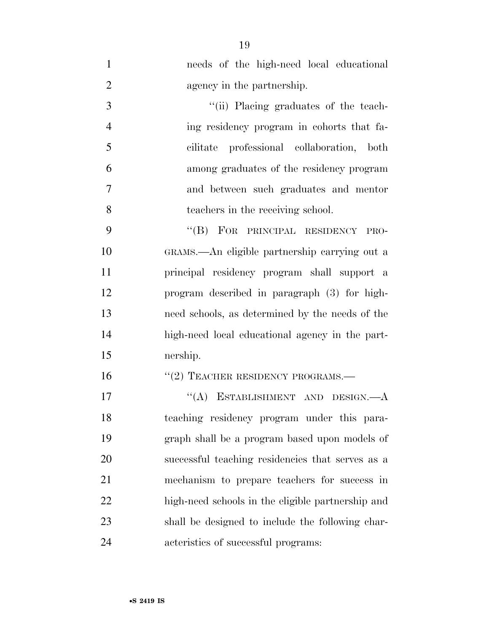- needs of the high-need local educational 2 agency in the partnership.
- 3  $\frac{1}{1}$  Placing graduates of the teach- ing residency program in cohorts that fa- cilitate professional collaboration, both among graduates of the residency program and between such graduates and mentor teachers in the receiving school.

9 "(B) FOR PRINCIPAL RESIDENCY PRO- GRAMS.—An eligible partnership carrying out a principal residency program shall support a program described in paragraph (3) for high- need schools, as determined by the needs of the high-need local educational agency in the part-nership.

#### 16 "(2) TEACHER RESIDENCY PROGRAMS.—

17 "(A) ESTABLISHMENT AND DESIGN.—A teaching residency program under this para- graph shall be a program based upon models of successful teaching residencies that serves as a mechanism to prepare teachers for success in high-need schools in the eligible partnership and shall be designed to include the following char-acteristics of successful programs: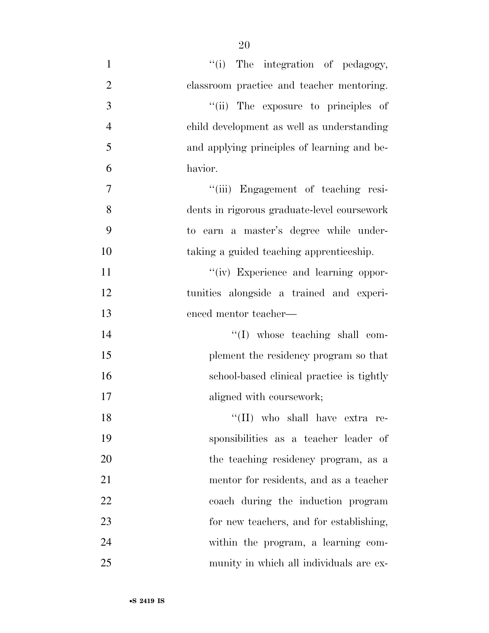| $\mathbf{1}$   | "(i) The integration of pedagogy,           |
|----------------|---------------------------------------------|
| $\overline{2}$ | classroom practice and teacher mentoring.   |
| 3              | "(ii) The exposure to principles of         |
| $\overline{4}$ | child development as well as understanding  |
| 5              | and applying principles of learning and be- |
| 6              | havior.                                     |
| 7              | "(iii) Engagement of teaching resi-         |
| 8              | dents in rigorous graduate-level coursework |
| 9              | to earn a master's degree while under-      |
| 10             | taking a guided teaching apprenticeship.    |
| 11             | "(iv) Experience and learning oppor-        |
| 12             | tunities alongside a trained and experi-    |
| 13             | enced mentor teacher—                       |
| 14             | $\lq\lq$ whose teaching shall com-          |
| 15             | plement the residency program so that       |
| 16             | school-based clinical practice is tightly   |
| 17             | aligned with coursework;                    |
| 18             | "(II) who shall have extra re-              |
| 19             | sponsibilities as a teacher leader of       |
| 20             | the teaching residency program, as a        |
| 21             | mentor for residents, and as a teacher      |
| 22             | coach during the induction program          |
| 23             | for new teachers, and for establishing,     |
| 24             | within the program, a learning com-         |
| 25             | munity in which all individuals are ex-     |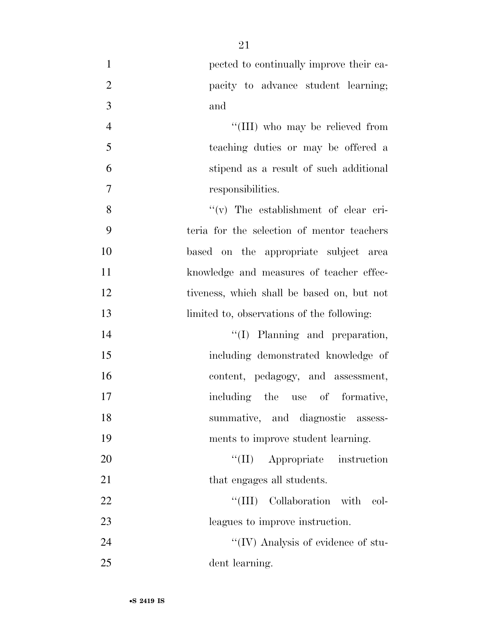| $\mathbf{1}$   | pected to continually improve their ca-    |
|----------------|--------------------------------------------|
| $\overline{2}$ | pacity to advance student learning;        |
| 3              | and                                        |
| $\overline{4}$ | "(III) who may be relieved from            |
| 5              | teaching duties or may be offered a        |
| 6              | stipend as a result of such additional     |
| 7              | responsibilities.                          |
| 8              | "(v) The establishment of clear cri-       |
| 9              | teria for the selection of mentor teachers |
| 10             | based on the appropriate subject area      |
| 11             | knowledge and measures of teacher effec-   |
| 12             | tiveness, which shall be based on, but not |
| 13             | limited to, observations of the following: |
| 14             | "(I) Planning and preparation,             |
| 15             | including demonstrated knowledge of        |
| 16             | content, pedagogy, and assessment,         |
| 17             | including the use of formative,            |
| 18             | summative, and diagnostic assess-          |
| 19             | ments to improve student learning.         |
| 20             | "(II) Appropriate instruction              |
| 21             | that engages all students.                 |
| 22             | Collaboration with col-<br>``(III)         |
| 23             | leagues to improve instruction.            |
| 24             | "(IV) Analysis of evidence of stu-         |
| 25             | dent learning.                             |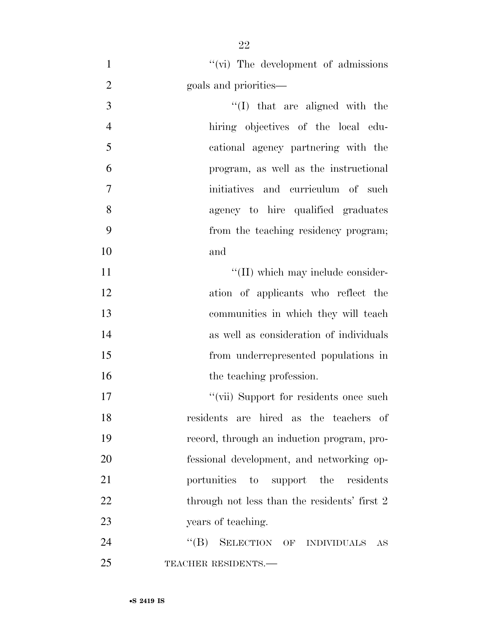1 ''(vi) The development of admissions goals and priorities—  $\frac{1}{2}$  that are aligned with the hiring objectives of the local edu- cational agency partnering with the program, as well as the instructional initiatives and curriculum of such agency to hire qualified graduates from the teaching residency program; and  $\text{``(II)}$  which may include consider- ation of applicants who reflect the communities in which they will teach as well as consideration of individuals from underrepresented populations in 16 the teaching profession.  $"$ (vii) Support for residents once such residents are hired as the teachers of record, through an induction program, pro- fessional development, and networking op- portunities to support the residents 22 through not less than the residents' first 2 years of teaching.

24 "(B) SELECTION OF INDIVIDUALS AS 25 TEACHER RESIDENTS.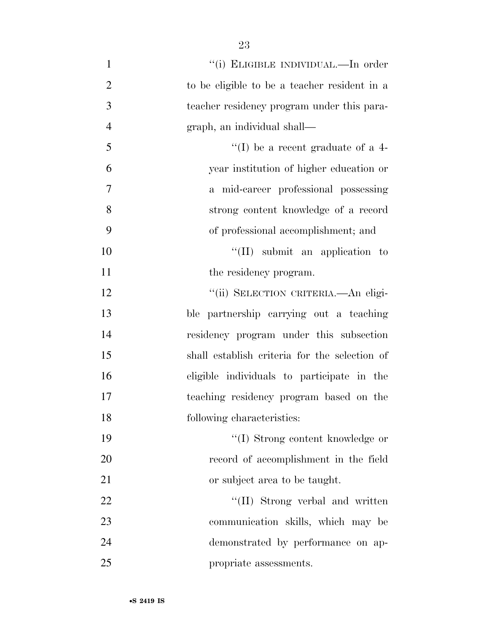| $\mathbf{1}$   | "(i) ELIGIBLE INDIVIDUAL.—In order            |
|----------------|-----------------------------------------------|
| $\overline{2}$ | to be eligible to be a teacher resident in a  |
| 3              | teacher residency program under this para-    |
| $\overline{4}$ | graph, an individual shall—                   |
| 5              | "(I) be a recent graduate of a $4-$           |
| 6              | year institution of higher education or       |
| 7              | a mid-career professional possessing          |
| 8              | strong content knowledge of a record          |
| 9              | of professional accomplishment; and           |
| 10             | $``(II)$ submit an application to             |
| 11             | the residency program.                        |
| 12             | "(ii) SELECTION CRITERIA.—An eligi-           |
| 13             | ble partnership carrying out a teaching       |
| 14             | residency program under this subsection       |
| 15             | shall establish criteria for the selection of |
| 16             | eligible individuals to participate in the    |
| 17             | teaching residency program based on the       |
| 18             | following characteristics:                    |
| 19             | "(I) Strong content knowledge or              |
| 20             | record of accomplishment in the field         |
| 21             | or subject area to be taught.                 |
| 22             | "(II) Strong verbal and written               |
| 23             | communication skills, which may be            |
| 24             | demonstrated by performance on ap-            |
| 25             | propriate assessments.                        |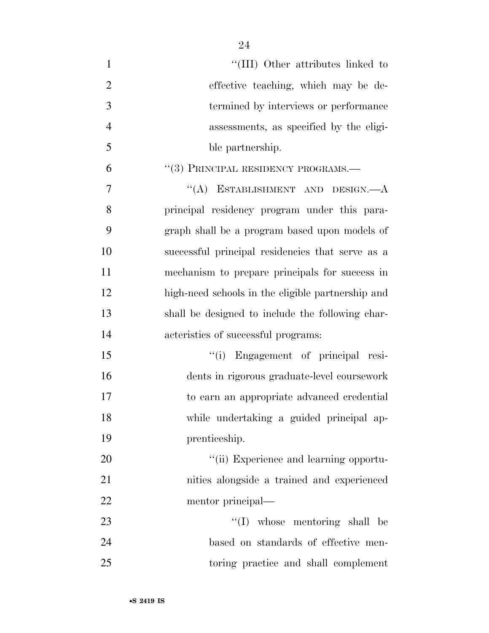| $\mathbf{1}$   | "(III) Other attributes linked to                 |
|----------------|---------------------------------------------------|
| $\overline{2}$ | effective teaching, which may be de-              |
| 3              | termined by interviews or performance             |
| $\overline{4}$ | assessments, as specified by the eligi-           |
| 5              | ble partnership.                                  |
| 6              | "(3) PRINCIPAL RESIDENCY PROGRAMS.-               |
| 7              | "(A) ESTABLISHMENT AND DESIGN.— $A$               |
| 8              | principal residency program under this para-      |
| 9              | graph shall be a program based upon models of     |
| 10             | successful principal residencies that serve as a  |
| 11             | mechanism to prepare principals for success in    |
| 12             | high-need schools in the eligible partnership and |
| 13             | shall be designed to include the following char-  |
| 14             | acteristics of successful programs:               |
| 15             | "(i) Engagement of principal resi-                |
| 16             | dents in rigorous graduate-level coursework       |
| 17             | to earn an appropriate advanced credential        |
| 18             | while undertaking a guided principal ap-          |
| 19             | prenticeship.                                     |
| 20             | "(ii) Experience and learning opportu-            |
| 21             | nities alongside a trained and experienced        |
| 22             | mentor principal—                                 |
| 23             | "(I) whose mentoring shall be                     |
| 24             | based on standards of effective men-              |
| 25             | toring practice and shall complement              |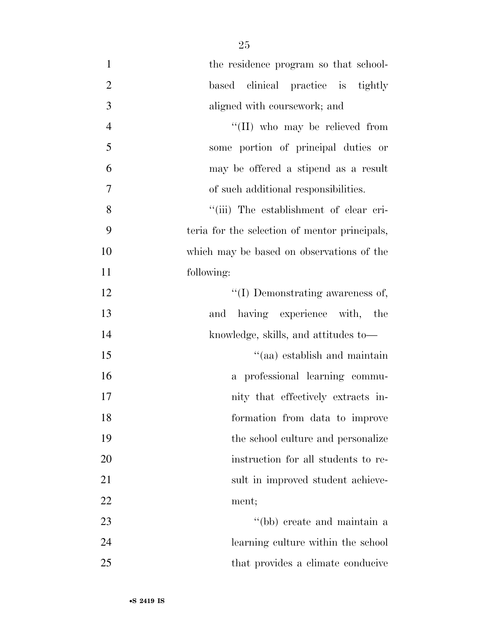| $\mathbf{1}$   | the residence program so that school-         |
|----------------|-----------------------------------------------|
| $\overline{2}$ | based clinical practice is tightly            |
| 3              | aligned with coursework; and                  |
| $\overline{4}$ | "(II) who may be relieved from                |
| 5              | some portion of principal duties or           |
| 6              | may be offered a stipend as a result          |
| $\overline{7}$ | of such additional responsibilities.          |
| 8              | "(iii) The establishment of clear cri-        |
| 9              | teria for the selection of mentor principals, |
| 10             | which may be based on observations of the     |
| 11             | following:                                    |
| 12             | $\lq\lq$ (I) Demonstrating awareness of,      |
| 13             | having experience with, the<br>and            |
| 14             | knowledge, skills, and attitudes to-          |
| 15             | "(aa) establish and maintain                  |
| 16             | a professional learning commu-                |
| 17             | nity that effectively extracts in-            |
| 18             | formation from data to improve                |
| 19             | the school culture and personalize            |
| 20             | instruction for all students to re-           |
| 21             | sult in improved student achieve-             |
| 22             | ment;                                         |
| 23             | "(bb) create and maintain a                   |
| 24             | learning culture within the school            |
| 25             | that provides a climate conducive             |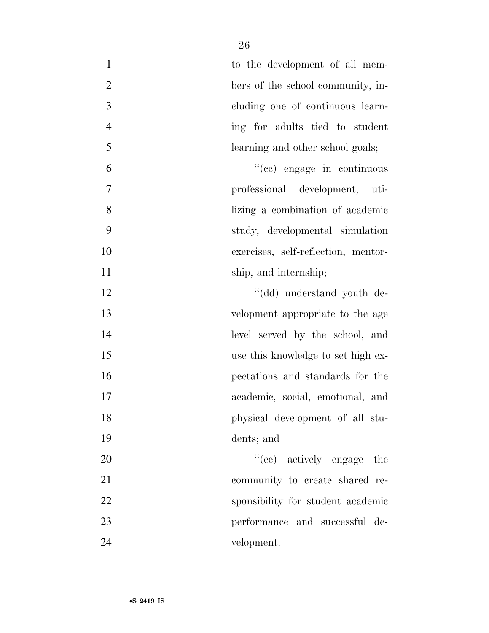| $\mathbf{1}$   | to the development of all mem-      |
|----------------|-------------------------------------|
| $\overline{2}$ | bers of the school community, in-   |
| 3              | cluding one of continuous learn-    |
| $\overline{4}$ | ing for adults tied to student      |
| 5              | learning and other school goals;    |
| 6              | "(cc) engage in continuous          |
| 7              | professional development, uti-      |
| 8              | lizing a combination of academic    |
| 9              | study, developmental simulation     |
| 10             | exercises, self-reflection, mentor- |
| 11             | ship, and internship;               |
| 12             | "(dd) understand youth de-          |
| 13             | velopment appropriate to the age    |
| 14             | level served by the school, and     |
| 15             | use this knowledge to set high ex-  |
| 16             | pectations and standards for the    |
| 17             | academic, social, emotional, and    |
| 18             | physical development of all stu-    |
| 19             | dents; and                          |
| 20             | "(ee) actively engage the           |
| 21             | community to create shared re-      |
| 22             | sponsibility for student academic   |
| 23             | performance and successful de-      |
| 24             | velopment.                          |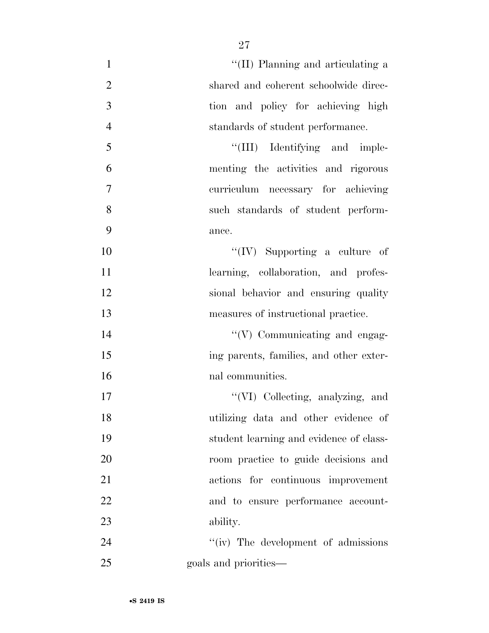| $\mathbf{1}$   | "(II) Planning and articulating a       |
|----------------|-----------------------------------------|
| $\overline{2}$ | shared and coherent schoolwide direc-   |
| 3              | tion and policy for achieving high      |
| $\overline{4}$ | standards of student performance.       |
| 5              | "(III) Identifying and imple-           |
| 6              | menting the activities and rigorous     |
| $\overline{7}$ | curriculum necessary for achieving      |
| 8              | such standards of student perform-      |
| 9              | ance.                                   |
| 10             | "(IV) Supporting a culture of           |
| 11             | learning, collaboration, and profes-    |
| 12             | sional behavior and ensuring quality    |
| 13             | measures of instructional practice.     |
| 14             | "(V) Communicating and engag-           |
| 15             | ing parents, families, and other exter- |
| 16             | nal communities.                        |
| 17             | "(VI) Collecting, analyzing, and        |
| 18             | utilizing data and other evidence of    |
| 19             | student learning and evidence of class- |
| 20             | room practice to guide decisions and    |
| 21             | actions for continuous improvement      |
| 22             | and to ensure performance account-      |
| 23             | ability.                                |
| 24             | "(iv) The development of admissions"    |
| 25             | goals and priorities—                   |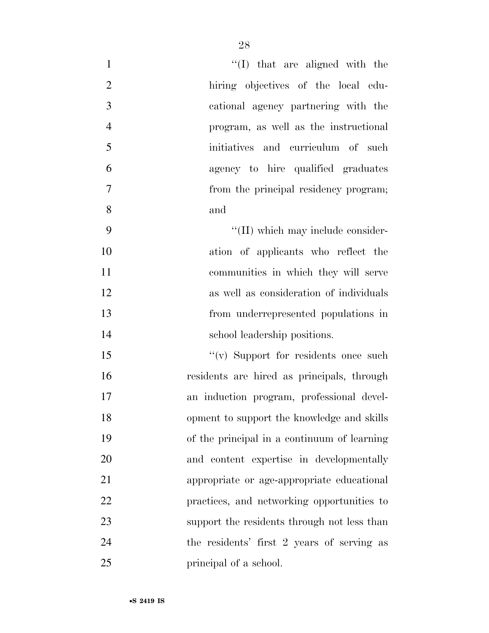| $\mathbf{1}$   | $\lq\lq$ that are aligned with the          |
|----------------|---------------------------------------------|
| $\mathfrak{2}$ | hiring objectives of the local edu-         |
| 3              | cational agency partnering with the         |
| $\overline{4}$ | program, as well as the instructional       |
| 5              | initiatives and curriculum of such          |
| 6              | agency to hire qualified graduates          |
| $\overline{7}$ | from the principal residency program;       |
| 8              | and                                         |
| 9              | "(II) which may include consider-           |
| 10             | ation of applicants who reflect the         |
| 11             | communities in which they will serve        |
| 12             | as well as consideration of individuals     |
| 13             | from underrepresented populations in        |
| 14             | school leadership positions.                |
| 15             | "(v) Support for residents once such        |
| 16             | residents are hired as principals, through  |
| 17             | an induction program, professional devel-   |
| 18             | opment to support the knowledge and skills  |
| 19             | of the principal in a continuum of learning |
| 20             | and content expertise in developmentally    |
| 21             | appropriate or age-appropriate educational  |
| 22             | practices, and networking opportunities to  |
| 23             | support the residents through not less than |
| 24             | the residents' first 2 years of serving as  |
| 25             | principal of a school.                      |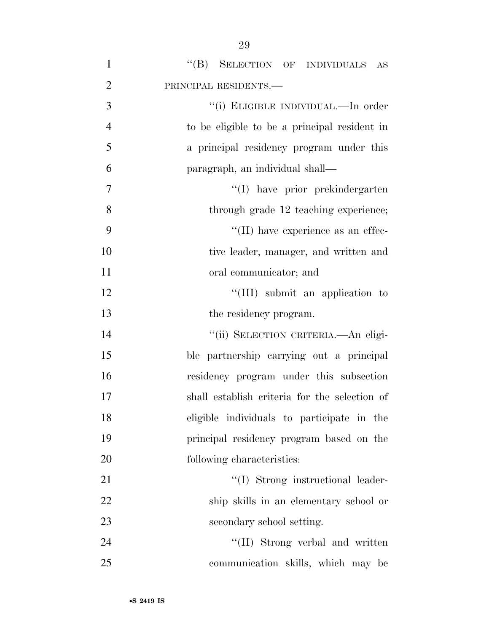| $\mathbf{1}$     | "(B) SELECTION OF INDIVIDUALS AS              |
|------------------|-----------------------------------------------|
| $\overline{2}$   | PRINCIPAL RESIDENTS.                          |
| 3                | "(i) ELIGIBLE INDIVIDUAL.—In order            |
| $\overline{4}$   | to be eligible to be a principal resident in  |
| 5                | a principal residency program under this      |
| 6                | paragraph, an individual shall—               |
| $\boldsymbol{7}$ | "(I) have prior prekindergarten               |
| 8                | through grade 12 teaching experience;         |
| 9                | $\lq\lq$ (II) have experience as an effec-    |
| 10               | tive leader, manager, and written and         |
| 11               | oral communicator; and                        |
| 12               | "(III) submit an application to               |
| 13               | the residency program.                        |
| 14               | "(ii) SELECTION CRITERIA.—An eligi-           |
| 15               | ble partnership carrying out a principal      |
| 16               | residency program under this subsection       |
| 17               | shall establish criteria for the selection of |
| 18               | eligible individuals to participate in the    |
| 19               | principal residency program based on the      |
| 20               | following characteristics:                    |
| 21               | "(I) Strong instructional leader-             |
| 22               | ship skills in an elementary school or        |
| 23               | secondary school setting.                     |
| 24               | "(II) Strong verbal and written               |
| 25               | communication skills, which may be            |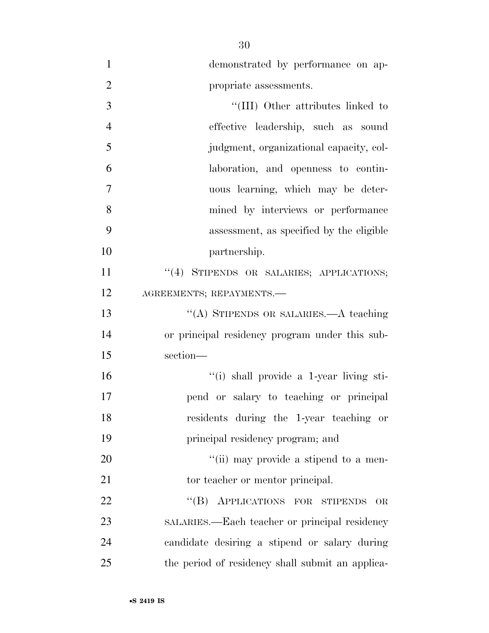| $\mathbf{1}$   | demonstrated by performance on ap-               |
|----------------|--------------------------------------------------|
| $\overline{2}$ | propriate assessments.                           |
| 3              | "(III) Other attributes linked to                |
| $\overline{4}$ | effective leadership, such as sound              |
| 5              | judgment, organizational capacity, col-          |
| 6              | laboration, and openness to contin-              |
| 7              | uous learning, which may be deter-               |
| 8              | mined by interviews or performance               |
| 9              | assessment, as specified by the eligible         |
| 10             | partnership.                                     |
| 11             | "(4) STIPENDS OR SALARIES; APPLICATIONS;         |
| 12             | AGREEMENTS; REPAYMENTS.                          |
| 13             | "(A) STIPENDS OR SALARIES.—A teaching            |
| 14             | or principal residency program under this sub-   |
| 15             | section-                                         |
| 16             | "(i) shall provide a 1-year living sti-          |
| 17             | pend or salary to teaching or principal          |
| 18             | residents during the 1-year teaching or          |
| 19             | principal residency program; and                 |
| 20             | "(ii) may provide a stipend to a men-            |
| 21             | tor teacher or mentor principal.                 |
| 22             | "(B) APPLICATIONS FOR STIPENDS<br>OR             |
| 23             | SALARIES.—Each teacher or principal residency    |
| 24             | candidate desiring a stipend or salary during    |
| 25             | the period of residency shall submit an applica- |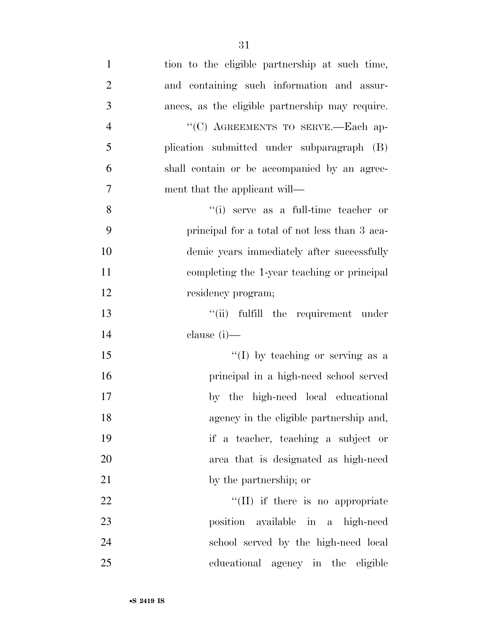| $\mathbf{1}$   | tion to the eligible partnership at such time,  |
|----------------|-------------------------------------------------|
| $\overline{2}$ | and containing such information and assur-      |
| 3              | ances, as the eligible partnership may require. |
| $\overline{4}$ | "(C) AGREEMENTS TO SERVE.-Each ap-              |
| 5              | plication submitted under subparagraph (B)      |
| 6              | shall contain or be accompanied by an agree-    |
| $\tau$         | ment that the applicant will—                   |
| 8              | "(i) serve as a full-time teacher or            |
| 9              | principal for a total of not less than 3 aca-   |
| 10             | demic years immediately after successfully      |
| 11             | completing the 1-year teaching or principal     |
| 12             | residency program;                              |
| 13             | "(ii) fulfill the requirement under             |
| 14             | clause $(i)$ —                                  |
| 15             | "(I) by teaching or serving as a                |
| 16             | principal in a high-need school served          |
| 17             | by the high-need local educational              |
| 18             | agency in the eligible partnership and,         |
| 19             | if a teacher, teaching a subject or             |
| 20             | area that is designated as high-need            |
| 21             | by the partnership; or                          |
| 22             | $\lq\lq$ (II) if there is no appropriate        |
| 23             | position available in a high-need               |
| 24             | school served by the high-need local            |
| 25             | educational agency in the eligible              |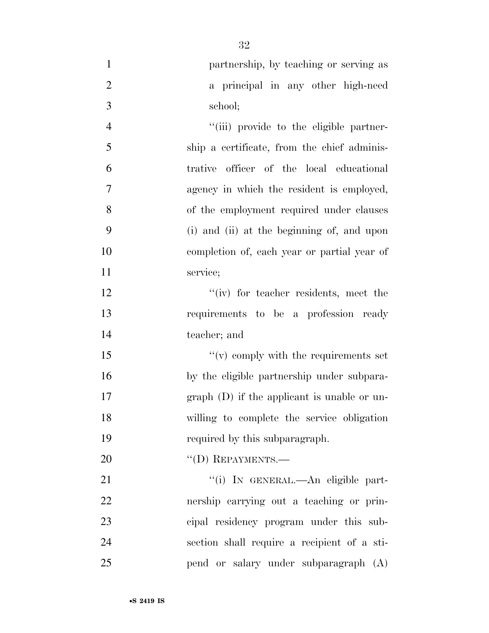| $\mathbf{1}$   | partnership, by teaching or serving as        |
|----------------|-----------------------------------------------|
| $\overline{2}$ | a principal in any other high-need            |
| 3              | school;                                       |
| $\overline{4}$ | "(iii) provide to the eligible partner-       |
| 5              | ship a certificate, from the chief adminis-   |
| 6              | trative officer of the local educational      |
| $\overline{7}$ | agency in which the resident is employed,     |
| 8              | of the employment required under clauses      |
| 9              | (i) and (ii) at the beginning of, and upon    |
| 10             | completion of, each year or partial year of   |
| 11             | service;                                      |
| 12             | "(iv) for teacher residents, meet the         |
| 13             | requirements to be a profession ready         |
| 14             | teacher; and                                  |
| 15             | $f'(v)$ comply with the requirements set      |
| 16             | by the eligible partnership under subpara-    |
| 17             | $graph$ (D) if the applicant is unable or un- |
| 18             | willing to complete the service obligation    |
| 19             | required by this subparagraph.                |
| 20             | $\lq\lq$ (D) REPAYMENTS.—                     |
| 21             | "(i) IN GENERAL.—An eligible part-            |
| 22             | nership carrying out a teaching or prin-      |
| 23             | cipal residency program under this sub-       |
| 24             | section shall require a recipient of a sti-   |

pend or salary under subparagraph (A)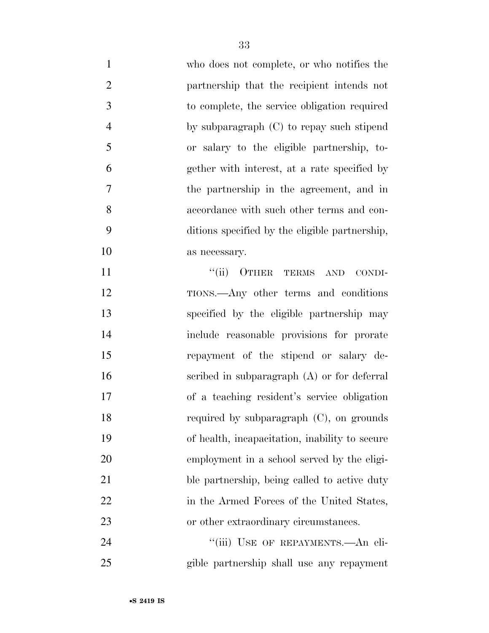| $\mathbf{1}$     | who does not complete, or who notifies the     |
|------------------|------------------------------------------------|
| $\overline{2}$   | partnership that the recipient intends not     |
| $\mathfrak{Z}$   | to complete, the service obligation required   |
| $\overline{4}$   | by subparagraph $(C)$ to repay such stipend    |
| 5                | or salary to the eligible partnership, to-     |
| 6                | gether with interest, at a rate specified by   |
| $\boldsymbol{7}$ | the partnership in the agreement, and in       |
| 8                | accordance with such other terms and con-      |
| 9                | ditions specified by the eligible partnership, |
| 10               | as necessary.                                  |
| 11               | "(ii) OTHER TERMS AND<br>CONDI-                |
| 12               | TIONS.—Any other terms and conditions          |
| 13               | specified by the eligible partnership may      |
| 14               | include reasonable provisions for prorate      |
| 15               | repayment of the stipend or salary de-         |
| 16               | scribed in subparagraph $(A)$ or for deferral  |
| 17               | of a teaching resident's service obligation    |
| 18               | required by subparagraph (C), on grounds       |
| 19               | of health, incapacitation, inability to secure |
| 20               | employment in a school served by the eligi-    |
| 21               | ble partnership, being called to active duty   |
| 22               | in the Armed Forces of the United States,      |
| 23               | or other extraordinary circumstances.          |
| 24               | "(iii) USE OF REPAYMENTS.—An eli-              |
| 25               | gible partnership shall use any repayment      |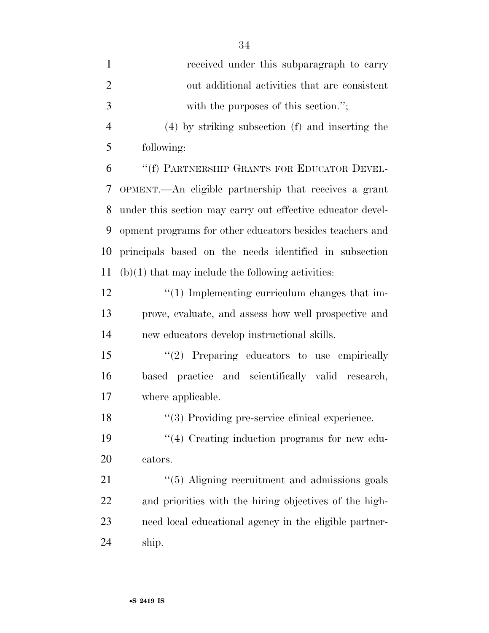| $\mathbf{1}$   | received under this subparagraph to carry                  |
|----------------|------------------------------------------------------------|
| $\overline{2}$ | out additional activities that are consistent              |
| 3              | with the purposes of this section.";                       |
| $\overline{4}$ | (4) by striking subsection (f) and inserting the           |
| 5              | following:                                                 |
| 6              | "(f) PARTNERSHIP GRANTS FOR EDUCATOR DEVEL-                |
| 7              | OPMENT.—An eligible partnership that receives a grant      |
| 8              | under this section may carry out effective educator devel- |
| 9              | opment programs for other educators besides teachers and   |
| 10             | principals based on the needs identified in subsection     |
| 11             | $(b)(1)$ that may include the following activities:        |
| 12             | $\lq(1)$ Implementing curriculum changes that im-          |
| 13             | prove, evaluate, and assess how well prospective and       |
| 14             | new educators develop instructional skills.                |
| 15             | $"(2)$ Preparing educators to use empirically              |
| 16             | based practice and scientifically valid research,          |
| 17             | where applicable.                                          |
| 18             | "(3) Providing pre-service clinical experience.            |
| 19             | $\lq(4)$ Creating induction programs for new edu-          |
| 20             | cators.                                                    |
| 21             | "(5) Aligning recruitment and admissions goals             |
| 22             | and priorities with the hiring objectives of the high-     |
| 23             | need local educational agency in the eligible partner-     |
| 24             | ship.                                                      |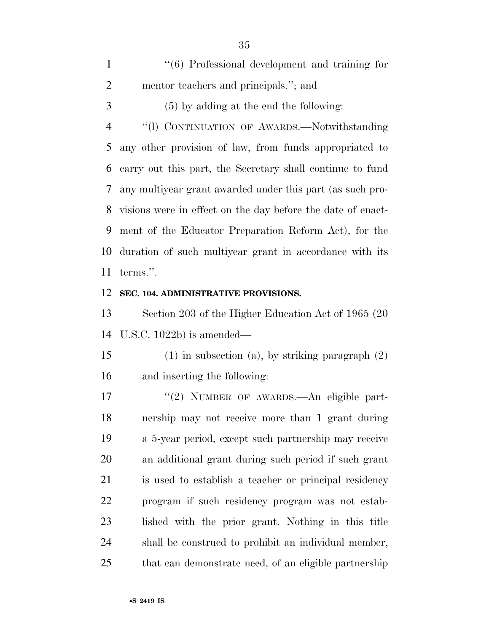| $\mathbf{1}$   | $\cdot$ (6) Professional development and training for         |
|----------------|---------------------------------------------------------------|
| $\overline{2}$ | mentor teachers and principals."; and                         |
| 3              | $(5)$ by adding at the end the following:                     |
| 4              | "(1) CONTINUATION OF AWARDS.—Notwithstanding                  |
| 5 <sup>5</sup> | any other provision of law, from funds appropriated to        |
| 6              | carry out this part, the Secretary shall continue to fund     |
|                | 7 any multiyear grant awarded under this part (as such pro-   |
|                | 8 visions were in effect on the day before the date of enact- |
| 9              | ment of the Educator Preparation Reform Act), for the         |
|                | 10 duration of such multiyear grant in accordance with its    |
|                | 11 terms.".                                                   |

#### **SEC. 104. ADMINISTRATIVE PROVISIONS.**

 Section 203 of the Higher Education Act of 1965 (20 U.S.C. 1022b) is amended—

 (1) in subsection (a), by striking paragraph (2) and inserting the following:

 ''(2) NUMBER OF AWARDS.—An eligible part- nership may not receive more than 1 grant during a 5-year period, except such partnership may receive an additional grant during such period if such grant is used to establish a teacher or principal residency program if such residency program was not estab- lished with the prior grant. Nothing in this title shall be construed to prohibit an individual member, that can demonstrate need, of an eligible partnership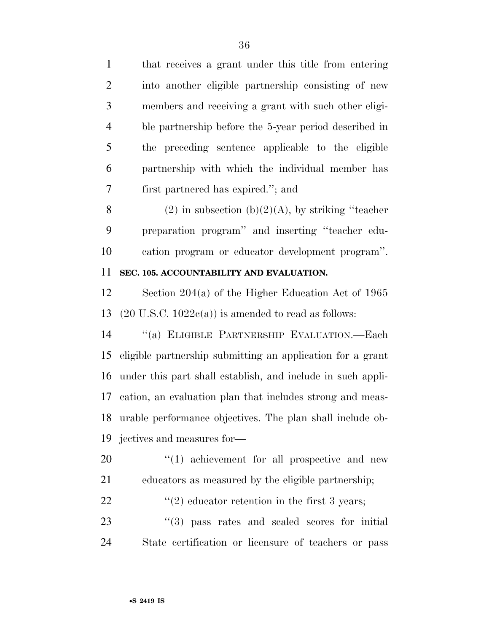that receives a grant under this title from entering into another eligible partnership consisting of new members and receiving a grant with such other eligi- ble partnership before the 5-year period described in the preceding sentence applicable to the eligible partnership with which the individual member has first partnered has expired.''; and 8 (2) in subsection (b)(2)(A), by striking "teacher preparation program'' and inserting ''teacher edu- cation program or educator development program''. **SEC. 105. ACCOUNTABILITY AND EVALUATION.**  Section 204(a) of the Higher Education Act of 1965 13 (20 U.S.C.  $1022c(a)$ ) is amended to read as follows: ''(a) ELIGIBLE PARTNERSHIP EVALUATION.—Each eligible partnership submitting an application for a grant under this part shall establish, and include in such appli- cation, an evaluation plan that includes strong and meas- urable performance objectives. The plan shall include ob- jectives and measures for—  $\frac{1}{20}$  (1) achievement for all prospective and new educators as measured by the eligible partnership;  $\frac{1}{2}$   $\frac{1}{2}$  educator retention in the first 3 years;

23 ''(3) pass rates and scaled scores for initial State certification or licensure of teachers or pass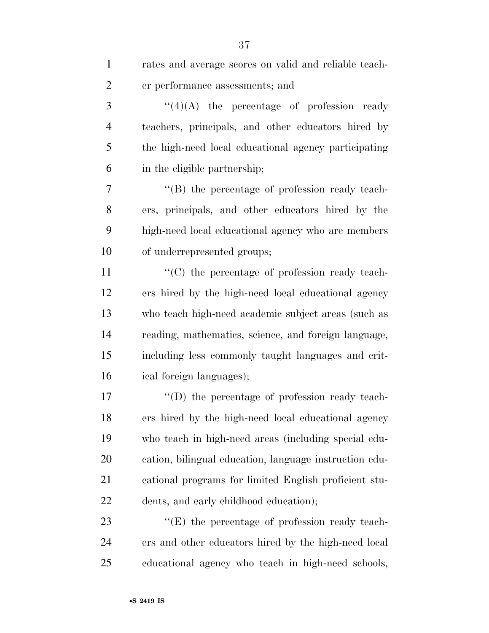| $\mathbf{1}$   | rates and average scores on valid and reliable teach-  |
|----------------|--------------------------------------------------------|
| $\overline{2}$ | er performance assessments; and                        |
| 3              | $\lq(4)(A)$ the percentage of profession ready         |
| $\overline{4}$ | teachers, principals, and other educators hired by     |
| 5              | the high-need local educational agency participating   |
| 6              | in the eligible partnership;                           |
| 7              | $\lq\lq$ the percentage of profession ready teach-     |
| 8              | ers, principals, and other educators hired by the      |
| 9              | high-need local educational agency who are members     |
| 10             | of underrepresented groups;                            |
| 11             | "(C) the percentage of profession ready teach-         |
| 12             | ers hired by the high-need local educational agency    |
| 13             | who teach high-need academic subject areas (such as    |
| 14             | reading, mathematics, science, and foreign language,   |
| 15             | including less commonly taught languages and crit-     |
| 16             | ical foreign languages);                               |
| 17             | $\lq\lq$ the percentage of profession ready teach-     |
| 18             | ers hired by the high-need local educational agency    |
| 19             | who teach in high-need areas (including special edu-   |
| 20             | cation, bilingual education, language instruction edu- |
| 21             | cational programs for limited English proficient stu-  |
| 22             | dents, and early childhood education);                 |
| 23             | $\lq\lq$ (E) the percentage of profession ready teach- |
| 24             | ers and other educators hired by the high-need local   |
| 25             | educational agency who teach in high-need schools,     |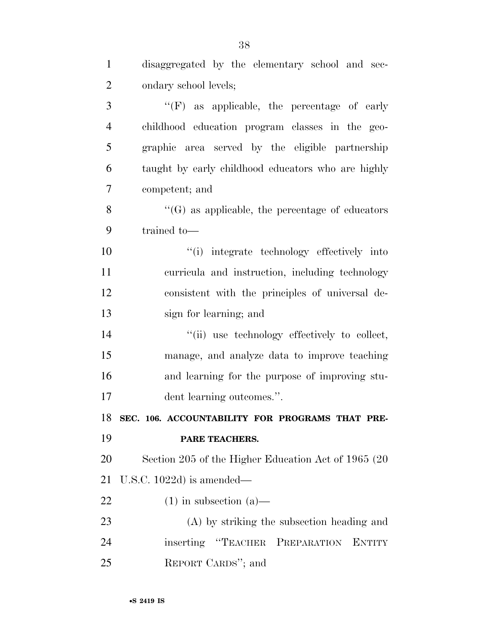| $\mathbf{1}$   | disaggregated by the elementary school and sec-        |
|----------------|--------------------------------------------------------|
| $\overline{2}$ | ondary school levels;                                  |
| 3              | $\lq\lq(F)$ as applicable, the percentage of early     |
| $\overline{4}$ | childhood education program classes in the geo-        |
| 5              | graphic area served by the eligible partnership        |
| 6              | taught by early childhood educators who are highly     |
| $\overline{7}$ | competent; and                                         |
| 8              | $\lq\lq(G)$ as applicable, the percentage of educators |
| 9              | trained to-                                            |
| 10             | "(i) integrate technology effectively into             |
| 11             | curricula and instruction, including technology        |
| 12             | consistent with the principles of universal de-        |
| 13             | sign for learning; and                                 |
| 14             | "(ii) use technology effectively to collect,           |
| 15             | manage, and analyze data to improve teaching           |
| 16             | and learning for the purpose of improving stu-         |
| 17             | dent learning outcomes.".                              |
| 18             | SEC. 106. ACCOUNTABILITY FOR PROGRAMS THAT PRE-        |
| 19             | PARE TEACHERS.                                         |
| 20             | Section 205 of the Higher Education Act of 1965 (20)   |
| 21             | U.S.C. $1022d$ ) is amended—                           |
| 22             | $(1)$ in subsection $(a)$ —                            |
| 23             | (A) by striking the subsection heading and             |
| 24             | inserting "TEACHER PREPARATION<br><b>ENTITY</b>        |
| 25             | REPORT CARDS"; and                                     |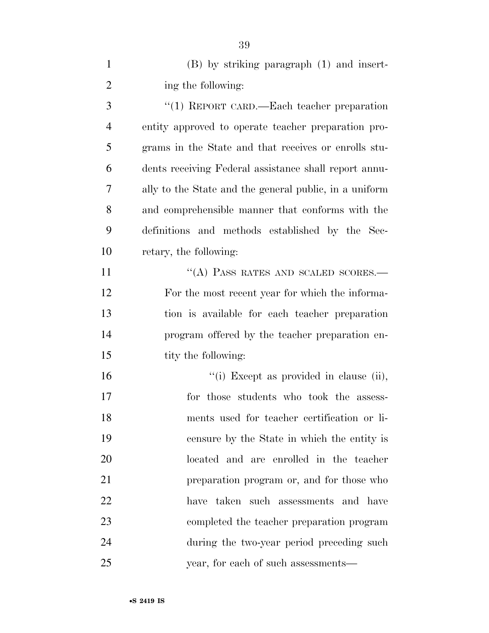(B) by striking paragraph (1) and insert-2 ing the following:

 ''(1) REPORT CARD.—Each teacher preparation entity approved to operate teacher preparation pro- grams in the State and that receives or enrolls stu- dents receiving Federal assistance shall report annu- ally to the State and the general public, in a uniform and comprehensible manner that conforms with the definitions and methods established by the Sec-retary, the following:

11 "(A) PASS RATES AND SCALED SCORES.— For the most recent year for which the informa- tion is available for each teacher preparation program offered by the teacher preparation en-15 tity the following:

 $"$ (i) Except as provided in clause (ii), for those students who took the assess- ments used for teacher certification or li- censure by the State in which the entity is located and are enrolled in the teacher preparation program or, and for those who have taken such assessments and have completed the teacher preparation program during the two-year period preceding such year, for each of such assessments—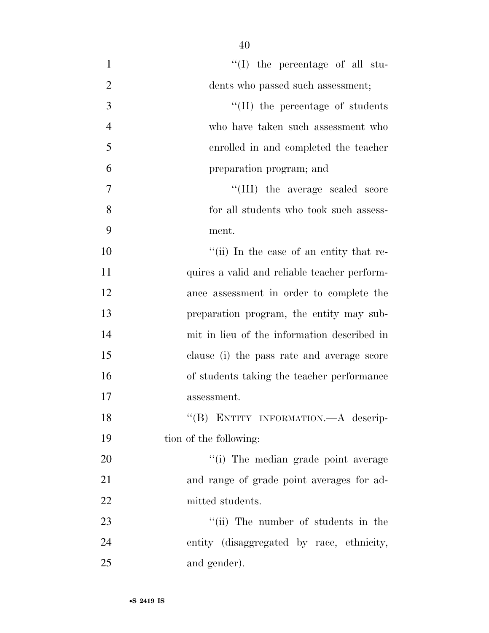| 1              | $\lq\lq$ (I) the percentage of all stu-      |
|----------------|----------------------------------------------|
| $\overline{2}$ | dents who passed such assessment;            |
| $\mathfrak{Z}$ | $\lq\lq$ (II) the percentage of students     |
| $\overline{4}$ | who have taken such assessment who           |
| 5              | enrolled in and completed the teacher        |
| 6              | preparation program; and                     |
| 7              | "(III) the average scaled score              |
| 8              | for all students who took such assess-       |
| 9              | ment.                                        |
| 10             | "(ii) In the case of an entity that re-      |
| 11             | quires a valid and reliable teacher perform- |
| 12             | ance assessment in order to complete the     |
| 13             | preparation program, the entity may sub-     |
| 14             | mit in lieu of the information described in  |
| 15             | clause (i) the pass rate and average score   |
| 16             | of students taking the teacher performance   |
| 17             | assessment.                                  |
| 18             | "(B) ENTITY INFORMATION.—A descrip-          |
| 19             | tion of the following:                       |
| 20             | "(i) The median grade point average          |
| 21             | and range of grade point averages for ad-    |
| 22             | mitted students.                             |
| 23             | "(ii) The number of students in the          |
| 24             | entity (disaggregated by race, ethnicity,    |
| 25             | and gender).                                 |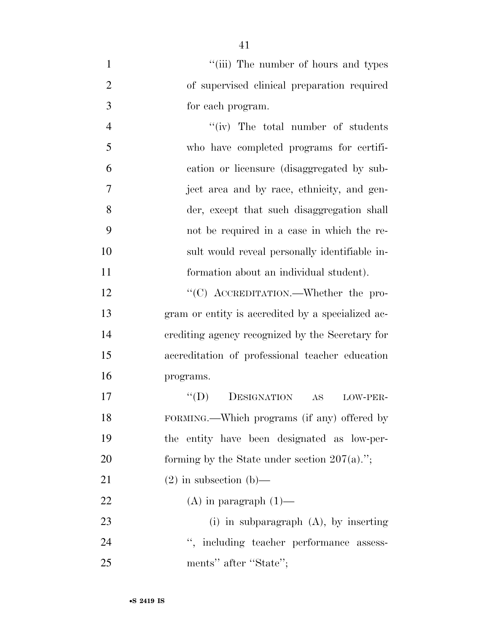| $\mathbf{1}$   | "(iii) The number of hours and types              |
|----------------|---------------------------------------------------|
| $\overline{2}$ | of supervised clinical preparation required       |
| 3              | for each program.                                 |
| $\overline{4}$ | "(iv) The total number of students                |
| 5              | who have completed programs for certifi-          |
| 6              | cation or licensure (disaggregated by sub-        |
| 7              | ject area and by race, ethnicity, and gen-        |
| 8              | der, except that such disaggregation shall        |
| 9              | not be required in a case in which the re-        |
| 10             | sult would reveal personally identifiable in-     |
| 11             | formation about an individual student).           |
| 12             | "(C) ACCREDITATION.—Whether the pro-              |
| 13             | gram or entity is accredited by a specialized ac- |
| 14             | crediting agency recognized by the Secretary for  |
| 15             | accreditation of professional teacher education   |
| 16             | programs.                                         |
| 17             | DESIGNATION<br>$\lq\lq (D)$<br>AS<br>LOW-PER-     |

 FORMING.—Which programs (if any) offered by the entity have been designated as low-per-20 forming by the State under section  $207(a)$ .";

21 (2) in subsection (b)—

22 (A) in paragraph  $(1)$ —

 (i) in subparagraph (A), by inserting 24 '', including teacher performance assess-25 ments'' after "State";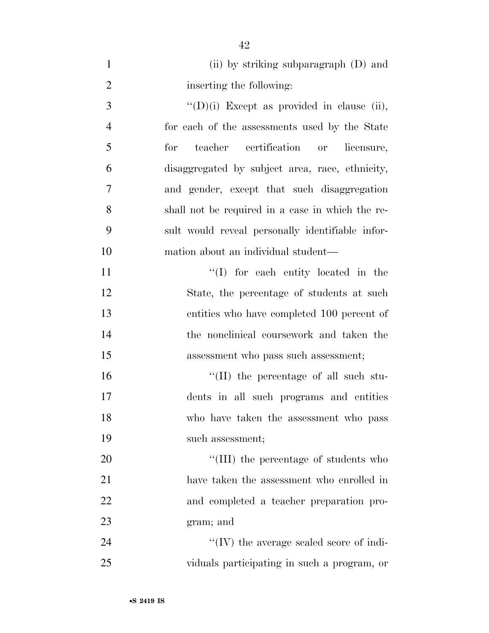| $\mathbf{1}$   | (ii) by striking subparagraph (D) and              |
|----------------|----------------------------------------------------|
| $\overline{2}$ | inserting the following:                           |
| 3              | $\lq\lq$ (D)(i) Except as provided in clause (ii), |
| $\overline{4}$ | for each of the assessments used by the State      |
| 5              | teacher certification or<br>for<br>licensure,      |
| 6              | disaggregated by subject area, race, ethnicity,    |
| 7              | and gender, except that such disaggregation        |
| 8              | shall not be required in a case in which the re-   |
| 9              | sult would reveal personally identifiable infor-   |
| 10             | mation about an individual student—                |
| 11             | "(I) for each entity located in the                |
| 12             | State, the percentage of students at such          |
| 13             | entities who have completed 100 percent of         |
| 14             | the nonclinical coursework and taken the           |
| 15             | assessment who pass such assessment;               |
| 16             | $\lq\lq$ (II) the percentage of all such stu-      |
| 17             | dents in all such programs and entities            |
| 18             | who have taken the assessment who pass             |
| 19             | such assessment;                                   |
| 20             | "(III) the percentage of students who              |
| 21             | have taken the assessment who enrolled in          |
| 22             | and completed a teacher preparation pro-           |
| 23             | gram; and                                          |
| 24             | "(IV) the average scaled score of indi-            |
| 25             | viduals participating in such a program, or        |

•**S 2419 IS**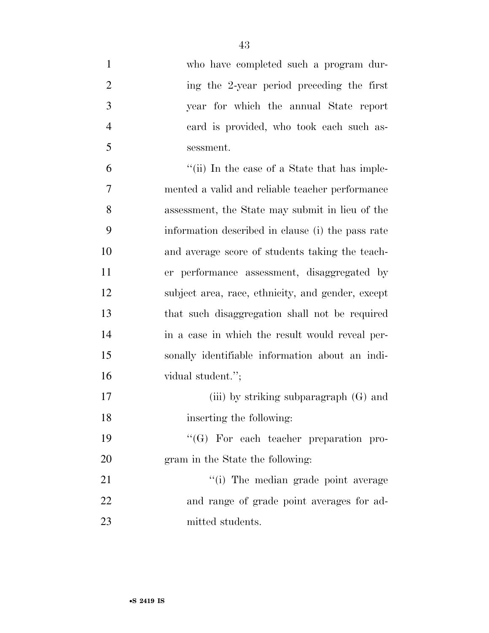| $\mathbf{1}$   | who have completed such a program dur-            |
|----------------|---------------------------------------------------|
| $\overline{2}$ | ing the 2-year period preceding the first         |
| $\mathfrak{Z}$ | year for which the annual State report            |
| $\overline{4}$ | card is provided, who took each such as-          |
| 5              | sessment.                                         |
| 6              | "(ii) In the case of a State that has imple-      |
| 7              | mented a valid and reliable teacher performance   |
| 8              | assessment, the State may submit in lieu of the   |
| 9              | information described in clause (i) the pass rate |
| 10             | and average score of students taking the teach-   |
| 11             | er performance assessment, disaggregated by       |
| 12             | subject area, race, ethnicity, and gender, except |
| 13             | that such disaggregation shall not be required    |
| 14             | in a case in which the result would reveal per-   |
| 15             | sonally identifiable information about an indi-   |
| 16             | vidual student.";                                 |
| 17             | (iii) by striking subparagraph $(G)$ and          |
| 18             | inserting the following:                          |
| 19             | $\lq\lq (G)$ For each teacher preparation pro-    |
| 20             | gram in the State the following:                  |
| 21             | "(i) The median grade point average               |
| 22             | and range of grade point averages for ad-         |
| 23             | mitted students.                                  |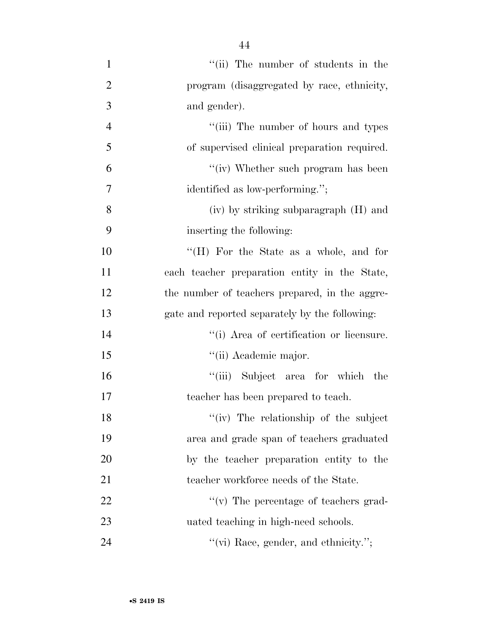| $\mathbf{1}$   | "(ii) The number of students in the            |
|----------------|------------------------------------------------|
| $\overline{2}$ | program (disaggregated by race, ethnicity,     |
| 3              | and gender).                                   |
| $\overline{4}$ | "(iii) The number of hours and types           |
| 5              | of supervised clinical preparation required.   |
| 6              | "(iv) Whether such program has been            |
| 7              | identified as low-performing.";                |
| 8              | (iv) by striking subparagraph (H) and          |
| 9              | inserting the following:                       |
| 10             | "(H) For the State as a whole, and for         |
| 11             | each teacher preparation entity in the State,  |
| 12             | the number of teachers prepared, in the aggre- |
| 13             | gate and reported separately by the following: |
| 14             | "(i) Area of certification or licensure.       |
| 15             | "(ii) Academic major.                          |
| 16             | "(iii) Subject area for which the              |
| 17             | teacher has been prepared to teach.            |
| 18             | "(iv) The relationship of the subject          |
| 19             | area and grade span of teachers graduated      |
| 20             | by the teacher preparation entity to the       |
| 21             | teacher workforce needs of the State.          |
| 22             | "(v) The percentage of teachers grad-          |
| 23             | uated teaching in high-need schools.           |
| 24             | " $(vi)$ Race, gender, and ethnicity.";        |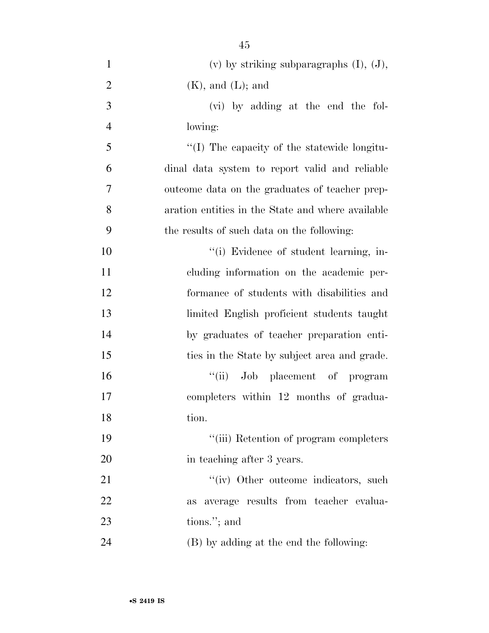| $\mathbf{1}$   | (v) by striking subparagraphs $(I)$ , $(J)$ ,     |
|----------------|---------------------------------------------------|
| $\overline{2}$ | $(K)$ , and $(L)$ ; and                           |
| 3              | (vi) by adding at the end the fol-                |
| $\overline{4}$ | lowing:                                           |
| 5              | "(I) The capacity of the statewide longitu-       |
| 6              | dinal data system to report valid and reliable    |
| 7              | outcome data on the graduates of teacher prep-    |
| 8              | aration entities in the State and where available |
| 9              | the results of such data on the following:        |
| 10             | "(i) Evidence of student learning, in-            |
| 11             | cluding information on the academic per-          |
| 12             | formance of students with disabilities and        |
| 13             | limited English proficient students taught        |
| 14             | by graduates of teacher preparation enti-         |
| 15             | ties in the State by subject area and grade.      |
| 16             | "(ii) Job placement of program                    |
| 17             | completers within 12 months of gradua-            |
| 18             | tion.                                             |
| 19             | "(iii) Retention of program completers            |
| 20             | in teaching after 3 years.                        |
| 21             | "(iv) Other outcome indicators, such              |
| 22             | average results from teacher evalua-<br>as        |
| 23             | tions."; and                                      |
| 24             | (B) by adding at the end the following:           |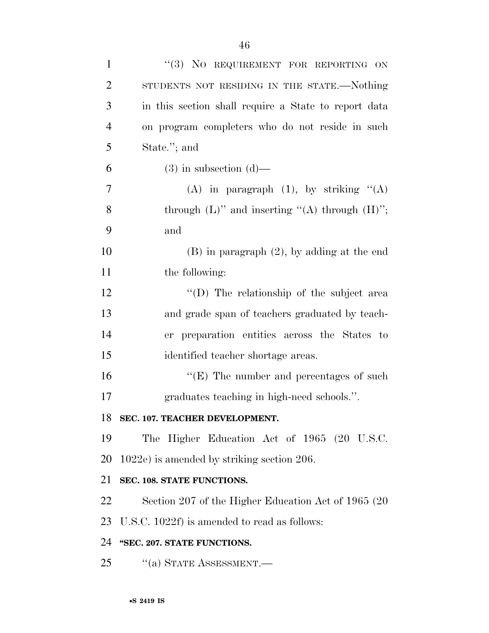| $\mathbf{1}$   | "(3) NO REQUIREMENT FOR REPORTING ON                   |
|----------------|--------------------------------------------------------|
| $\overline{2}$ | STUDENTS NOT RESIDING IN THE STATE.-Nothing            |
| 3              | in this section shall require a State to report data   |
| $\overline{4}$ | on program completers who do not reside in such        |
| 5              | State."; and                                           |
| 6              | $(3)$ in subsection $(d)$ —                            |
| 7              | (A) in paragraph $(1)$ , by striking " $(A)$           |
| 8              | through $(L)$ " and inserting " $(A)$ through $(H)$ "; |
| 9              | and                                                    |
| 10             | $(B)$ in paragraph $(2)$ , by adding at the end        |
| 11             | the following:                                         |
| 12             | "(D) The relationship of the subject area              |
| 13             | and grade span of teachers graduated by teach-         |
| 14             | er preparation entities across the States to           |
| 15             | identified teacher shortage areas.                     |
| 16             | $\lq\lq(E)$ The number and percentages of such         |
| 17             | graduates teaching in high-need schools.".             |
| 18             | SEC. 107. TEACHER DEVELOPMENT.                         |
| 19             | The Higher Education Act of 1965 (20 U.S.C.            |
| 20             | $1022e$ ) is amended by striking section 206.          |
| 21             | SEC. 108. STATE FUNCTIONS.                             |
| 22             | Section 207 of the Higher Education Act of 1965 (20)   |
| 23             | U.S.C. 1022f) is amended to read as follows:           |
| 24             | "SEC. 207. STATE FUNCTIONS.                            |
| 25             | $\cdot$ (a) STATE ASSESSMENT.—                         |
|                |                                                        |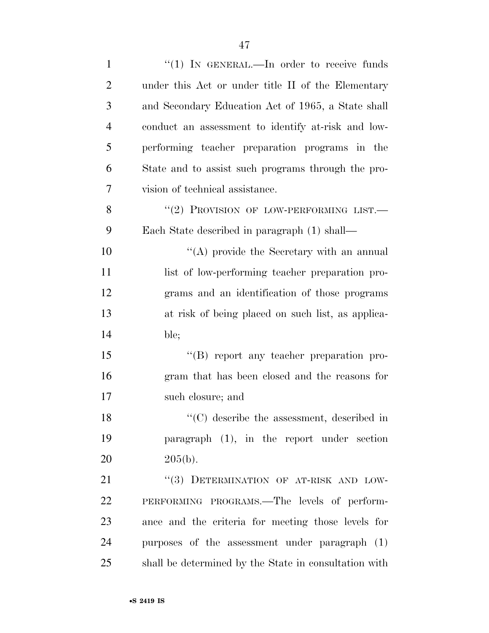| $\mathbf{1}$   | "(1) IN GENERAL.—In order to receive funds                      |
|----------------|-----------------------------------------------------------------|
| $\overline{2}$ | under this Act or under title II of the Elementary              |
| 3              | and Secondary Education Act of 1965, a State shall              |
| $\overline{4}$ | conduct an assessment to identify at-risk and low-              |
| 5              | performing teacher preparation programs in the                  |
| 6              | State and to assist such programs through the pro-              |
| 7              | vision of technical assistance.                                 |
| 8              | "(2) PROVISION OF LOW-PERFORMING LIST.                          |
| 9              | Each State described in paragraph (1) shall—                    |
| 10             | $\lq\lq$ provide the Secretary with an annual                   |
| 11             | list of low-performing teacher preparation pro-                 |
| 12             | grams and an identification of those programs                   |
| 13             | at risk of being placed on such list, as applica-               |
| 14             | ble;                                                            |
| 15             | "(B) report any teacher preparation pro-                        |
| 16             | gram that has been closed and the reasons for                   |
| 17             | such closure; and                                               |
| 18             | $\lq\lq$ <sup>c</sup> (C) describe the assessment, described in |
| 19             | paragraph $(1)$ , in the report under section                   |
| 20             | $205(b)$ .                                                      |
| 21             | "(3) DETERMINATION OF AT-RISK AND LOW-                          |
| 22             | PERFORMING PROGRAMS.—The levels of perform-                     |
| 23             | ance and the criteria for meeting those levels for              |
| 24             | purposes of the assessment under paragraph (1)                  |
| 25             | shall be determined by the State in consultation with           |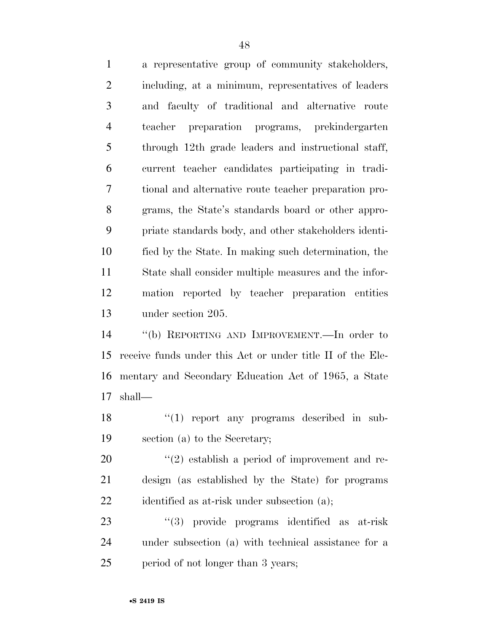a representative group of community stakeholders, including, at a minimum, representatives of leaders and faculty of traditional and alternative route teacher preparation programs, prekindergarten through 12th grade leaders and instructional staff, current teacher candidates participating in tradi- tional and alternative route teacher preparation pro- grams, the State's standards board or other appro- priate standards body, and other stakeholders identi- fied by the State. In making such determination, the State shall consider multiple measures and the infor- mation reported by teacher preparation entities under section 205.

 ''(b) REPORTING AND IMPROVEMENT.—In order to receive funds under this Act or under title II of the Ele- mentary and Secondary Education Act of 1965, a State shall—

18 ''(1) report any programs described in sub-section (a) to the Secretary;

20  $(2)$  establish a period of improvement and re- design (as established by the State) for programs 22 identified as at-risk under subsection (a);

23 ''(3) provide programs identified as at-risk under subsection (a) with technical assistance for a 25 period of not longer than 3 years;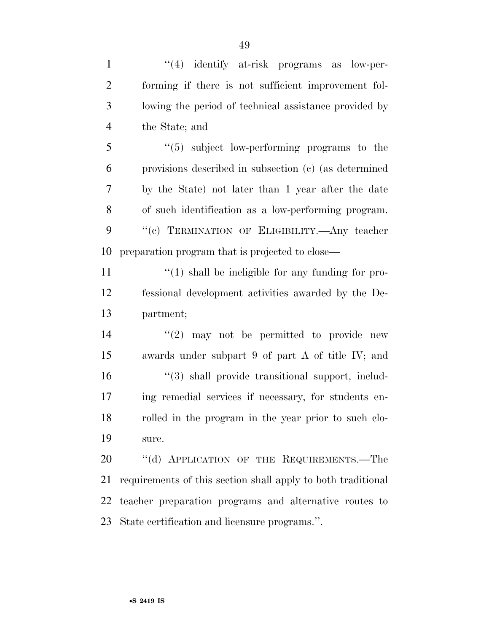1 ''(4) identify at-risk programs as low-per- forming if there is not sufficient improvement fol- lowing the period of technical assistance provided by the State; and

 ''(5) subject low-performing programs to the provisions described in subsection (c) (as determined by the State) not later than 1 year after the date of such identification as a low-performing program. ''(c) TERMINATION OF ELIGIBILITY.—Any teacher preparation program that is projected to close—

11  $\frac{1}{2}$  (1) shall be ineligible for any funding for pro- fessional development activities awarded by the De-partment;

 $(2)$  may not be permitted to provide new awards under subpart 9 of part A of title IV; and  $\frac{16}{3}$  shall provide transitional support, includ- ing remedial services if necessary, for students en- rolled in the program in the year prior to such clo-sure.

20 "(d) APPLICATION OF THE REQUIREMENTS.—The requirements of this section shall apply to both traditional teacher preparation programs and alternative routes to State certification and licensure programs.''.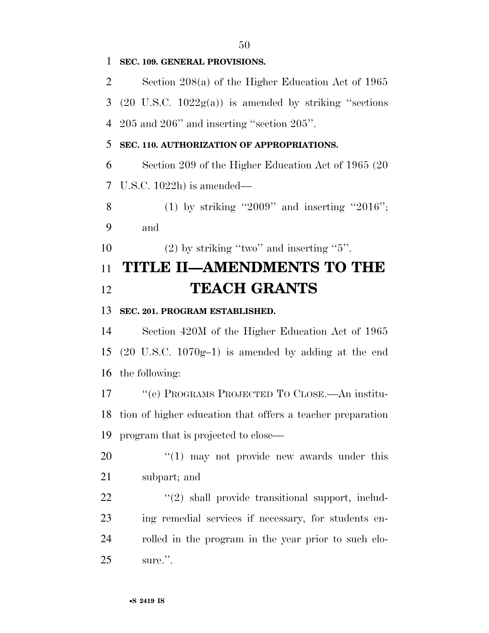**SEC. 109. GENERAL PROVISIONS.**  Section 208(a) of the Higher Education Act of 1965 3 (20 U.S.C.  $1022g(a)$ ) is amended by striking "sections" 205 and 206'' and inserting ''section 205''. **SEC. 110. AUTHORIZATION OF APPROPRIATIONS.**  Section 209 of the Higher Education Act of 1965 (20 U.S.C. 1022h) is amended— 8 (1) by striking "2009" and inserting "2016"; and 10 (2) by striking "two" and inserting "". **TITLE II—AMENDMENTS TO THE TEACH GRANTS SEC. 201. PROGRAM ESTABLISHED.**  Section 420M of the Higher Education Act of 1965 (20 U.S.C. 1070g–1) is amended by adding at the end the following: ''(e) PROGRAMS PROJECTED TO CLOSE.—An institu- tion of higher education that offers a teacher preparation program that is projected to close—  $\frac{1}{20}$  (1) may not provide new awards under this subpart; and  $\frac{1}{2}$   $\frac{1}{2}$  shall provide transitional support, includ- ing remedial services if necessary, for students en- rolled in the program in the year prior to such clo-sure.''.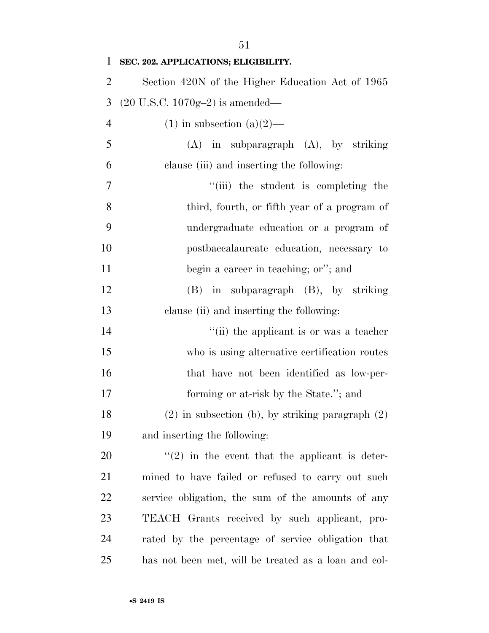| $\mathbf{1}$   | SEC. 202. APPLICATIONS; ELIGIBILITY.                 |
|----------------|------------------------------------------------------|
| $\overline{2}$ | Section 420N of the Higher Education Act of 1965     |
| 3              | $(20 \text{ U.S.C. } 1070 \text{g} - 2)$ is amended— |
| $\overline{4}$ | $(1)$ in subsection $(a)(2)$ —                       |
| 5              | $(A)$ in subparagraph $(A)$ , by striking            |
| 6              | clause (iii) and inserting the following:            |
| 7              | "(iii) the student is completing the                 |
| 8              | third, fourth, or fifth year of a program of         |
| 9              | undergraduate education or a program of              |
| 10             | postbaccalaureate education, necessary to            |
| 11             | begin a career in teaching; or"; and                 |
| 12             | (B) in subparagraph (B), by striking                 |
| 13             | clause (ii) and inserting the following:             |
| 14             | "(ii) the applicant is or was a teacher              |
| 15             | who is using alternative certification routes        |
| 16             | that have not been identified as low-per-            |
| 17             | forming or at-risk by the State."; and               |
| 18             | $(2)$ in subsection (b), by striking paragraph $(2)$ |
| 19             | and inserting the following:                         |
| 20             | $\lq(2)$ in the event that the applicant is deter-   |
| 21             | mined to have failed or refused to carry out such    |
| 22             | service obligation, the sum of the amounts of any    |
| 23             | TEACH Grants received by such applicant, pro-        |
| 24             | rated by the percentage of service obligation that   |
| 25             | has not been met, will be treated as a loan and col- |